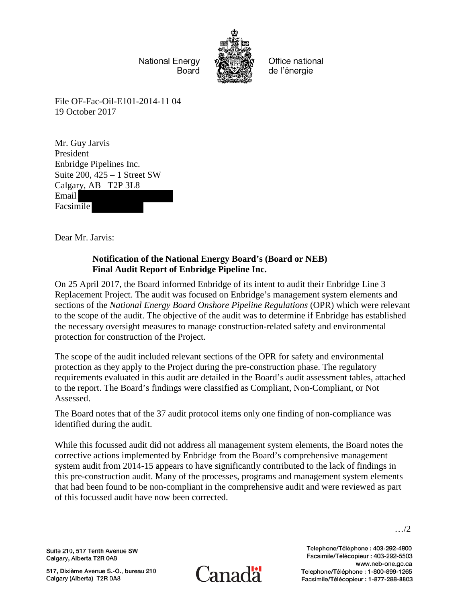**National Energy** Board



Office national de l'énergie

File OF-Fac-Oil-E101-2014-11 04 19 October 2017

Mr. Guy Jarvis President Enbridge Pipelines Inc. Suite 200, 425 – 1 Street SW Calgary, AB T2P 3L8 Email Facsimile

Dear Mr. Jarvis:

## **Notification of the National Energy Board's (Board or NEB) Final Audit Report of Enbridge Pipeline Inc.**

On 25 April 2017, the Board informed Enbridge of its intent to audit their Enbridge Line 3 Replacement Project. The audit was focused on Enbridge's management system elements and sections of the *National Energy Board Onshore Pipeline Regulations* (OPR) which were relevant to the scope of the audit. The objective of the audit was to determine if Enbridge has established the necessary oversight measures to manage construction-related safety and environmental protection for construction of the Project.

The scope of the audit included relevant sections of the OPR for safety and environmental protection as they apply to the Project during the pre-construction phase. The regulatory requirements evaluated in this audit are detailed in the Board's audit assessment tables, attached to the report. The Board's findings were classified as Compliant, Non-Compliant, or Not Assessed.

The Board notes that of the 37 audit protocol items only one finding of non-compliance was identified during the audit.

While this focussed audit did not address all management system elements, the Board notes the corrective actions implemented by Enbridge from the Board's comprehensive management system audit from 2014-15 appears to have significantly contributed to the lack of findings in this pre-construction audit. Many of the processes, programs and management system elements that had been found to be non-compliant in the comprehensive audit and were reviewed as part of this focussed audit have now been corrected.

Suite 210, 517 Tenth Avenue SW Calgary, Alberta T2R 0A8

517, Dixième Avenue S.-O., bureau 210 Calgary (Alberta) T2R 0A8



Telephone/Téléphone: 403-292-4800 Facsimile/Télécopieur: 403-292-5503 www.neb-one.gc.ca Telephone/Téléphone: 1-800-899-1265 Facsimile/Télécopieur: 1-877-288-8803

…/2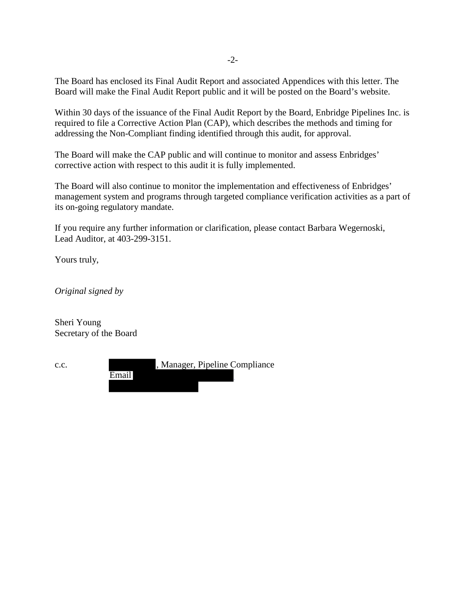The Board has enclosed its Final Audit Report and associated Appendices with this letter. The Board will make the Final Audit Report public and it will be posted on the Board's website.

Within 30 days of the issuance of the Final Audit Report by the Board, Enbridge Pipelines Inc. is required to file a Corrective Action Plan (CAP), which describes the methods and timing for addressing the Non-Compliant finding identified through this audit, for approval.

The Board will make the CAP public and will continue to monitor and assess Enbridges' corrective action with respect to this audit it is fully implemented.

The Board will also continue to monitor the implementation and effectiveness of Enbridges' management system and programs through targeted compliance verification activities as a part of its on-going regulatory mandate.

If you require any further information or clarification, please contact Barbara Wegernoski, Lead Auditor, at 403-299-3151.

Yours truly,

*Original signed by* 

Sheri Young Secretary of the Board

| c.c. |       | , Manager, Pipeline Compliance |  |
|------|-------|--------------------------------|--|
|      | Email |                                |  |
|      |       |                                |  |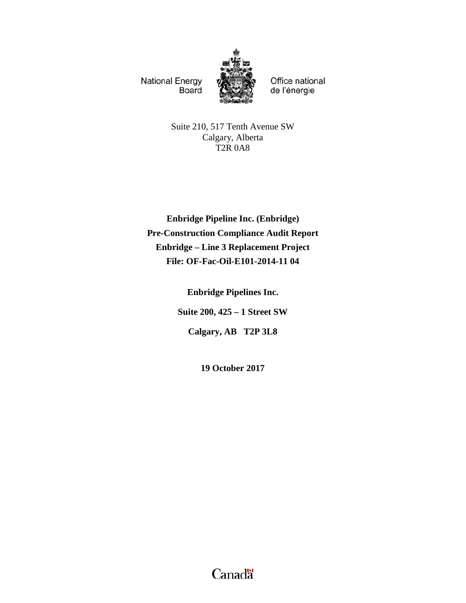**National Energy Board** 



Office national de l'énergie

Suite 210, 517 Tenth Avenue SW Calgary, Alberta T2R 0A8

**Enbridge Pipeline Inc. (Enbridge) Pre-Construction Compliance Audit Report Enbridge – Line 3 Replacement Project File: OF-Fac-Oil-E101-2014-11 04**

**Enbridge Pipelines Inc.**

**Suite 200, 425 – 1 Street SW**

**Calgary, AB T2P 3L8**

**19 October 2017**

Canadä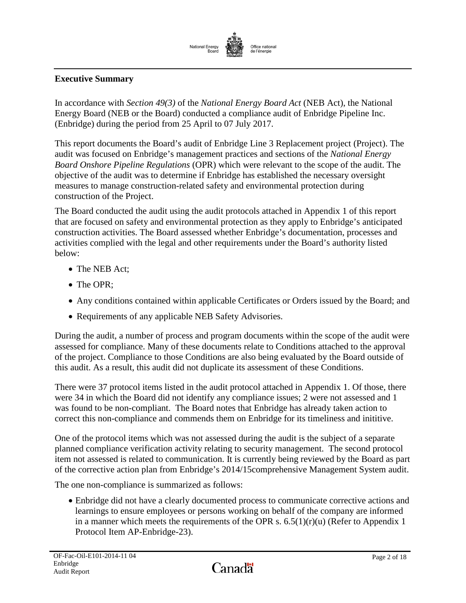

# <span id="page-3-0"></span>**Executive Summary**

In accordance with *Section 49(3)* of the *National Energy Board Act* (NEB Act), the National Energy Board (NEB or the Board) conducted a compliance audit of Enbridge Pipeline Inc. (Enbridge) during the period from 25 April to 07 July 2017.

This report documents the Board's audit of Enbridge Line 3 Replacement project (Project). The audit was focused on Enbridge's management practices and sections of the *National Energy Board Onshore Pipeline Regulations* (OPR) which were relevant to the scope of the audit. The objective of the audit was to determine if Enbridge has established the necessary oversight measures to manage construction-related safety and environmental protection during construction of the Project.

The Board conducted the audit using the audit protocols attached in Appendix 1 of this report that are focused on safety and environmental protection as they apply to Enbridge's anticipated construction activities. The Board assessed whether Enbridge's documentation, processes and activities complied with the legal and other requirements under the Board's authority listed below:

- The NEB Act:
- The OPR:
- Any conditions contained within applicable Certificates or Orders issued by the Board; and
- Requirements of any applicable NEB Safety Advisories.

During the audit, a number of process and program documents within the scope of the audit were assessed for compliance. Many of these documents relate to Conditions attached to the approval of the project. Compliance to those Conditions are also being evaluated by the Board outside of this audit. As a result, this audit did not duplicate its assessment of these Conditions.

There were 37 protocol items listed in the audit protocol attached in Appendix 1. Of those, there were 34 in which the Board did not identify any compliance issues; 2 were not assessed and 1 was found to be non-compliant. The Board notes that Enbridge has already taken action to correct this non-compliance and commends them on Enbridge for its timeliness and inititive.

One of the protocol items which was not assessed during the audit is the subject of a separate planned compliance verification activity relating to security management. The second protocol item not assessed is related to communication. It is currently being reviewed by the Board as part of the corrective action plan from Enbridge's 2014/15comprehensive Management System audit.

The one non-compliance is summarized as follows:

• Enbridge did not have a clearly documented process to communicate corrective actions and learnings to ensure employees or persons working on behalf of the company are informed in a manner which meets the requirements of the OPR s.  $6.5(1)(r)(u)$  (Refer to Appendix 1 Protocol Item AP-Enbridge-23).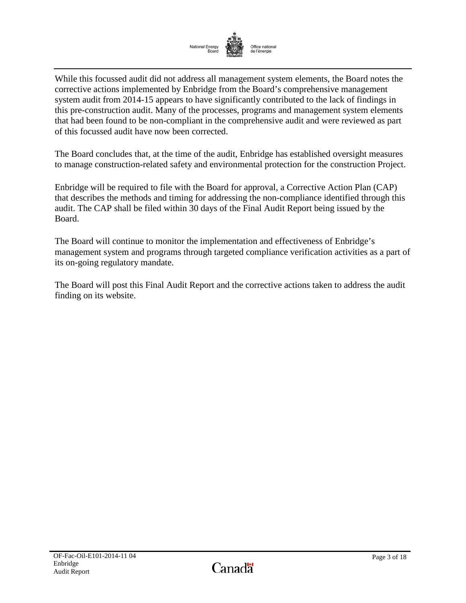

While this focussed audit did not address all management system elements, the Board notes the corrective actions implemented by Enbridge from the Board's comprehensive management system audit from 2014-15 appears to have significantly contributed to the lack of findings in this pre-construction audit. Many of the processes, programs and management system elements that had been found to be non-compliant in the comprehensive audit and were reviewed as part of this focussed audit have now been corrected.

The Board concludes that, at the time of the audit, Enbridge has established oversight measures to manage construction-related safety and environmental protection for the construction Project.

Enbridge will be required to file with the Board for approval, a Corrective Action Plan (CAP) that describes the methods and timing for addressing the non-compliance identified through this audit. The CAP shall be filed within 30 days of the Final Audit Report being issued by the Board.

The Board will continue to monitor the implementation and effectiveness of Enbridge's management system and programs through targeted compliance verification activities as a part of its on-going regulatory mandate.

The Board will post this Final Audit Report and the corrective actions taken to address the audit finding on its website.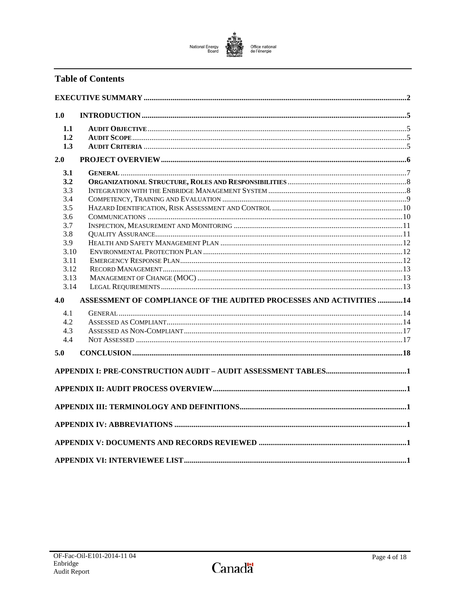# National Energy<br>Board Office national<br>de l'énergie

# **Table of Contents**

| 1.0          |                                                                     |  |
|--------------|---------------------------------------------------------------------|--|
| 1.1          |                                                                     |  |
| 1.2          |                                                                     |  |
| 1.3          |                                                                     |  |
| 2.0          |                                                                     |  |
| 3.1          |                                                                     |  |
| 3.2          |                                                                     |  |
| 3.3          |                                                                     |  |
| 3.4          |                                                                     |  |
| 3.5          |                                                                     |  |
| 3.6          |                                                                     |  |
| 3.7          |                                                                     |  |
| 3.8          |                                                                     |  |
| 3.9          |                                                                     |  |
| 3.10         |                                                                     |  |
| 3.11         |                                                                     |  |
| 3.12<br>3.13 |                                                                     |  |
| 3.14         |                                                                     |  |
| 4.0          | ASSESSMENT OF COMPLIANCE OF THE AUDITED PROCESSES AND ACTIVITIES 14 |  |
|              |                                                                     |  |
| 4.1          |                                                                     |  |
| 4.2          |                                                                     |  |
| 4.3<br>4.4   |                                                                     |  |
| 5.0          |                                                                     |  |
|              |                                                                     |  |
|              |                                                                     |  |
|              |                                                                     |  |
|              |                                                                     |  |
|              |                                                                     |  |
|              |                                                                     |  |
|              |                                                                     |  |
|              |                                                                     |  |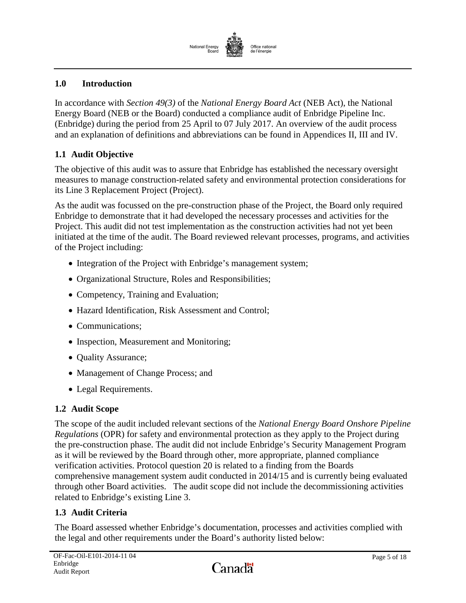

## <span id="page-6-0"></span>**1.0 Introduction**

In accordance with *Section 49(3)* of the *National Energy Board Act* (NEB Act), the National Energy Board (NEB or the Board) conducted a compliance audit of Enbridge Pipeline Inc. (Enbridge) during the period from 25 April to 07 July 2017. An overview of the audit process and an explanation of definitions and abbreviations can be found in Appendices II, III and IV.

# <span id="page-6-1"></span>**1.1 Audit Objective**

The objective of this audit was to assure that Enbridge has established the necessary oversight measures to manage construction-related safety and environmental protection considerations for its Line 3 Replacement Project (Project).

As the audit was focussed on the pre-construction phase of the Project, the Board only required Enbridge to demonstrate that it had developed the necessary processes and activities for the Project. This audit did not test implementation as the construction activities had not yet been initiated at the time of the audit. The Board reviewed relevant processes, programs, and activities of the Project including:

- Integration of the Project with Enbridge's management system;
- Organizational Structure, Roles and Responsibilities;
- Competency, Training and Evaluation;
- Hazard Identification, Risk Assessment and Control;
- Communications:
- Inspection, Measurement and Monitoring;
- Ouality Assurance;
- Management of Change Process; and
- Legal Requirements.

## <span id="page-6-2"></span>**1.2 Audit Scope**

The scope of the audit included relevant sections of the *National Energy Board Onshore Pipeline Regulations* (OPR) for safety and environmental protection as they apply to the Project during the pre-construction phase. The audit did not include Enbridge's Security Management Program as it will be reviewed by the Board through other, more appropriate, planned compliance verification activities. Protocol question 20 is related to a finding from the Boards comprehensive management system audit conducted in 2014/15 and is currently being evaluated through other Board activities. The audit scope did not include the decommissioning activities related to Enbridge's existing Line 3.

# <span id="page-6-3"></span>**1.3 Audit Criteria**

The Board assessed whether Enbridge's documentation, processes and activities complied with the legal and other requirements under the Board's authority listed below: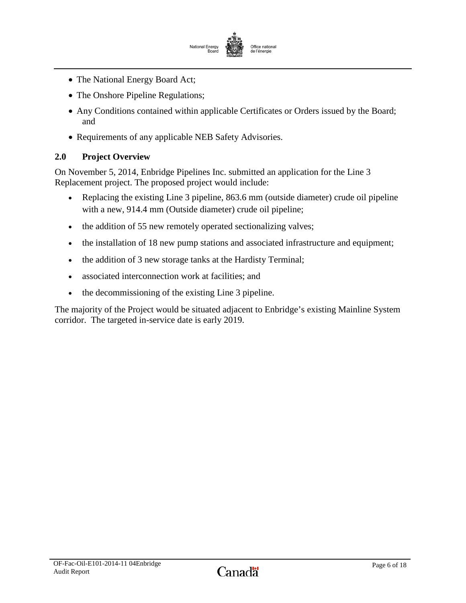

- The National Energy Board Act;
- The Onshore Pipeline Regulations;
- Any Conditions contained within applicable Certificates or Orders issued by the Board; and
- Requirements of any applicable NEB Safety Advisories.

# <span id="page-7-0"></span>**2.0 Project Overview**

On November 5, 2014, Enbridge Pipelines Inc. submitted an application for the Line 3 Replacement project. The proposed project would include:

- Replacing the existing Line 3 pipeline, 863.6 mm (outside diameter) crude oil pipeline with a new, 914.4 mm (Outside diameter) crude oil pipeline;
- the addition of 55 new remotely operated sectionalizing valves;
- the installation of 18 new pump stations and associated infrastructure and equipment;
- the addition of 3 new storage tanks at the Hardisty Terminal;
- associated interconnection work at facilities; and
- the decommissioning of the existing Line 3 pipeline.

The majority of the Project would be situated adjacent to Enbridge's existing Mainline System corridor. The targeted in-service date is early 2019.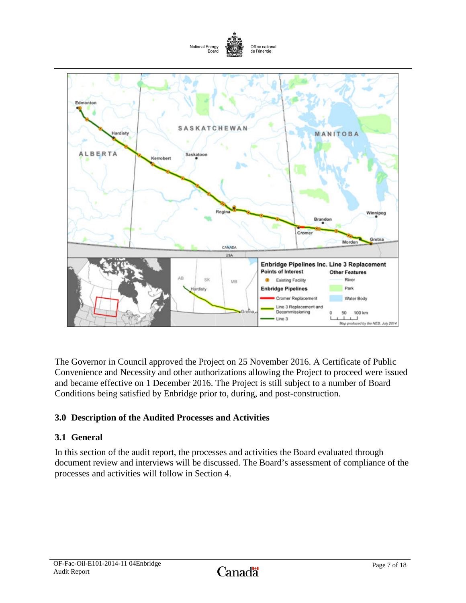

The Governor in Council approved the Project on 25 November 2016. A Certificate of Public Convenience and Necessity and other authorizations allowing the Project to proceed were issued and became effective on 1 December 2016. The Project is still subject to a number of Board Conditions being satisfied by Enbridge prior to, during, and post-construction.

# **3.0 Description of the Audited Processes and Activities**

# <span id="page-8-0"></span>**3.1 General**

In this section of the audit report, the processes and activities the Board evaluated through document review and interviews will be discussed. The Board's assessment of compliance of the processes and activities will follow in Section 4.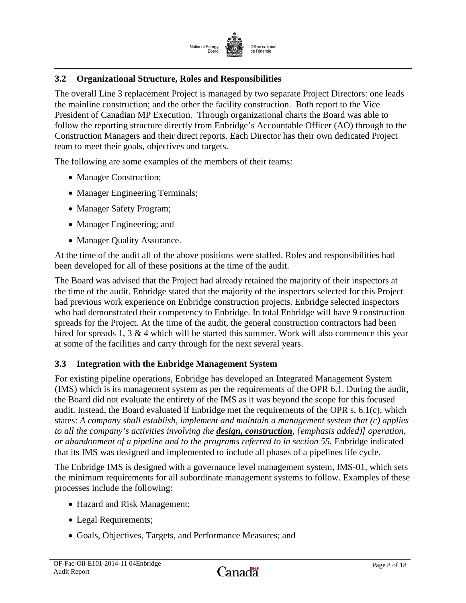

# <span id="page-9-0"></span>**3.2 Organizational Structure, Roles and Responsibilities**

The overall Line 3 replacement Project is managed by two separate Project Directors: one leads the mainline construction; and the other the facility construction. Both report to the Vice President of Canadian MP Execution. Through organizational charts the Board was able to follow the reporting structure directly from Enbridge's Accountable Officer (AO) through to the Construction Managers and their direct reports. Each Director has their own dedicated Project team to meet their goals, objectives and targets.

The following are some examples of the members of their teams:

- Manager Construction;
- Manager Engineering Terminals;
- Manager Safety Program;
- Manager Engineering; and
- Manager Quality Assurance.

At the time of the audit all of the above positions were staffed. Roles and responsibilities had been developed for all of these positions at the time of the audit.

The Board was advised that the Project had already retained the majority of their inspectors at the time of the audit. Enbridge stated that the majority of the inspectors selected for this Project had previous work experience on Enbridge construction projects. Enbridge selected inspectors who had demonstrated their competency to Enbridge. In total Enbridge will have 9 construction spreads for the Project. At the time of the audit, the general construction contractors had been hired for spreads 1, 3 & 4 which will be started this summer. Work will also commence this year at some of the facilities and carry through for the next several years.

## <span id="page-9-1"></span>**3.3 Integration with the Enbridge Management System**

For existing pipeline operations, Enbridge has developed an Integrated Management System (IMS) which is its management system as per the requirements of the OPR 6.1. During the audit, the Board did not evaluate the entirety of the IMS as it was beyond the scope for this focused audit. Instead, the Board evaluated if Enbridge met the requirements of the OPR s. 6.1(c), which states: *A company shall establish, implement and maintain a management system that (c) applies to all the company's activities involving the design, construction, {emphasis added)] operation, or abandonment of a pipeline and to the programs referred to in section 55.* Enbridge indicated that its IMS was designed and implemented to include all phases of a pipelines life cycle.

The Enbridge IMS is designed with a governance level management system, IMS-01, which sets the minimum requirements for all subordinate management systems to follow. Examples of these processes include the following:

- Hazard and Risk Management;
- Legal Requirements;
- Goals, Objectives, Targets, and Performance Measures; and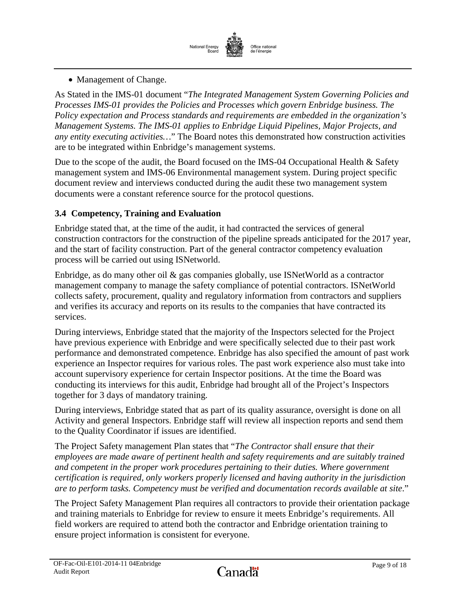

• Management of Change.

As Stated in the IMS-01 document "*The Integrated Management System Governing Policies and Processes IMS-01 provides the Policies and Processes which govern Enbridge business. The Policy expectation and Process standards and requirements are embedded in the organization's Management Systems. The IMS-01 applies to Enbridge Liquid Pipelines, Major Projects, and any entity executing activities…*" The Board notes this demonstrated how construction activities are to be integrated within Enbridge's management systems.

Due to the scope of the audit, the Board focused on the IMS-04 Occupational Health & Safety management system and IMS-06 Environmental management system. During project specific document review and interviews conducted during the audit these two management system documents were a constant reference source for the protocol questions.

# <span id="page-10-0"></span>**3.4 Competency, Training and Evaluation**

Enbridge stated that, at the time of the audit, it had contracted the services of general construction contractors for the construction of the pipeline spreads anticipated for the 2017 year, and the start of facility construction. Part of the general contractor competency evaluation process will be carried out using ISNetworld.

Enbridge, as do many other oil & gas companies globally, use ISNetWorld as a contractor management company to manage the safety compliance of potential contractors. ISNetWorld collects safety, procurement, quality and regulatory information from contractors and suppliers and verifies its accuracy and reports on its results to the companies that have contracted its services.

During interviews, Enbridge stated that the majority of the Inspectors selected for the Project have previous experience with Enbridge and were specifically selected due to their past work performance and demonstrated competence. Enbridge has also specified the amount of past work experience an Inspector requires for various roles. The past work experience also must take into account supervisory experience for certain Inspector positions. At the time the Board was conducting its interviews for this audit, Enbridge had brought all of the Project's Inspectors together for 3 days of mandatory training.

During interviews, Enbridge stated that as part of its quality assurance, oversight is done on all Activity and general Inspectors. Enbridge staff will review all inspection reports and send them to the Quality Coordinator if issues are identified.

The Project Safety management Plan states that "*The Contractor shall ensure that their employees are made aware of pertinent health and safety requirements and are suitably trained and competent in the proper work procedures pertaining to their duties. Where government certification is required, only workers properly licensed and having authority in the jurisdiction are to perform tasks. Competency must be verified and documentation records available at site*."

The Project Safety Management Plan requires all contractors to provide their orientation package and training materials to Enbridge for review to ensure it meets Enbridge's requirements. All field workers are required to attend both the contractor and Enbridge orientation training to ensure project information is consistent for everyone.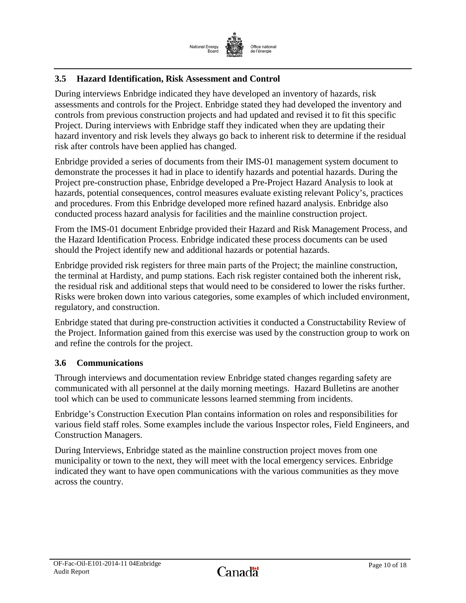

# <span id="page-11-0"></span>**3.5 Hazard Identification, Risk Assessment and Control**

During interviews Enbridge indicated they have developed an inventory of hazards, risk assessments and controls for the Project. Enbridge stated they had developed the inventory and controls from previous construction projects and had updated and revised it to fit this specific Project. During interviews with Enbridge staff they indicated when they are updating their hazard inventory and risk levels they always go back to inherent risk to determine if the residual risk after controls have been applied has changed.

Enbridge provided a series of documents from their IMS-01 management system document to demonstrate the processes it had in place to identify hazards and potential hazards. During the Project pre-construction phase, Enbridge developed a Pre-Project Hazard Analysis to look at hazards, potential consequences, control measures evaluate existing relevant Policy's, practices and procedures. From this Enbridge developed more refined hazard analysis. Enbridge also conducted process hazard analysis for facilities and the mainline construction project.

From the IMS-01 document Enbridge provided their Hazard and Risk Management Process, and the Hazard Identification Process. Enbridge indicated these process documents can be used should the Project identify new and additional hazards or potential hazards.

Enbridge provided risk registers for three main parts of the Project; the mainline construction, the terminal at Hardisty, and pump stations. Each risk register contained both the inherent risk, the residual risk and additional steps that would need to be considered to lower the risks further. Risks were broken down into various categories, some examples of which included environment, regulatory, and construction.

Enbridge stated that during pre-construction activities it conducted a Constructability Review of the Project. Information gained from this exercise was used by the construction group to work on and refine the controls for the project.

## <span id="page-11-1"></span>**3.6 Communications**

Through interviews and documentation review Enbridge stated changes regarding safety are communicated with all personnel at the daily morning meetings. Hazard Bulletins are another tool which can be used to communicate lessons learned stemming from incidents.

Enbridge's Construction Execution Plan contains information on roles and responsibilities for various field staff roles. Some examples include the various Inspector roles, Field Engineers, and Construction Managers.

During Interviews, Enbridge stated as the mainline construction project moves from one municipality or town to the next, they will meet with the local emergency services. Enbridge indicated they want to have open communications with the various communities as they move across the country.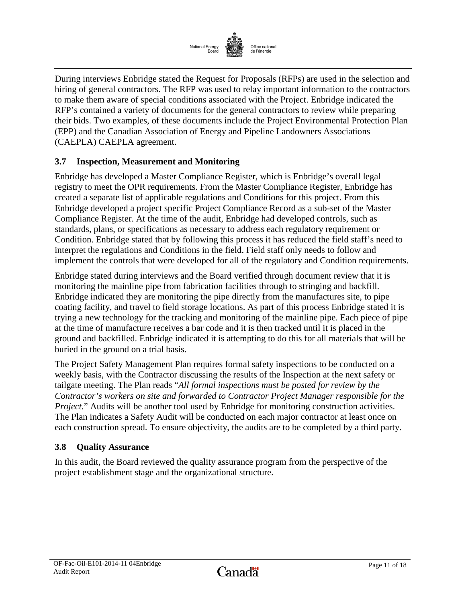

During interviews Enbridge stated the Request for Proposals (RFPs) are used in the selection and hiring of general contractors. The RFP was used to relay important information to the contractors to make them aware of special conditions associated with the Project. Enbridge indicated the RFP's contained a variety of documents for the general contractors to review while preparing their bids. Two examples, of these documents include the Project Environmental Protection Plan (EPP) and the Canadian Association of Energy and Pipeline Landowners Associations (CAEPLA) CAEPLA agreement.

# <span id="page-12-0"></span>**3.7 Inspection, Measurement and Monitoring**

Enbridge has developed a Master Compliance Register, which is Enbridge's overall legal registry to meet the OPR requirements. From the Master Compliance Register, Enbridge has created a separate list of applicable regulations and Conditions for this project. From this Enbridge developed a project specific Project Compliance Record as a sub-set of the Master Compliance Register. At the time of the audit, Enbridge had developed controls, such as standards, plans, or specifications as necessary to address each regulatory requirement or Condition. Enbridge stated that by following this process it has reduced the field staff's need to interpret the regulations and Conditions in the field. Field staff only needs to follow and implement the controls that were developed for all of the regulatory and Condition requirements.

Enbridge stated during interviews and the Board verified through document review that it is monitoring the mainline pipe from fabrication facilities through to stringing and backfill. Enbridge indicated they are monitoring the pipe directly from the manufactures site, to pipe coating facility, and travel to field storage locations. As part of this process Enbridge stated it is trying a new technology for the tracking and monitoring of the mainline pipe. Each piece of pipe at the time of manufacture receives a bar code and it is then tracked until it is placed in the ground and backfilled. Enbridge indicated it is attempting to do this for all materials that will be buried in the ground on a trial basis.

The Project Safety Management Plan requires formal safety inspections to be conducted on a weekly basis, with the Contractor discussing the results of the Inspection at the next safety or tailgate meeting. The Plan reads "*All formal inspections must be posted for review by the Contractor's workers on site and forwarded to Contractor Project Manager responsible for the Project.*" Audits will be another tool used by Enbridge for monitoring construction activities. The Plan indicates a Safety Audit will be conducted on each major contractor at least once on each construction spread. To ensure objectivity, the audits are to be completed by a third party.

## <span id="page-12-1"></span>**3.8 Quality Assurance**

In this audit, the Board reviewed the quality assurance program from the perspective of the project establishment stage and the organizational structure.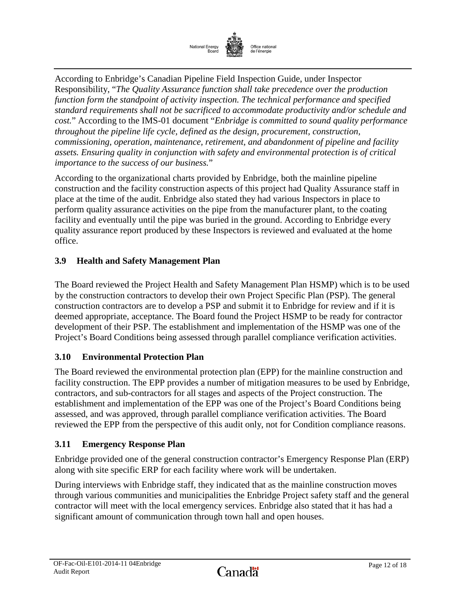

According to Enbridge's Canadian Pipeline Field Inspection Guide, under Inspector Responsibility, "*The Quality Assurance function shall take precedence over the production function form the standpoint of activity inspection. The technical performance and specified standard requirements shall not be sacrificed to accommodate productivity and/or schedule and cost.*" According to the IMS-01 document "*Enbridge is committed to sound quality performance throughout the pipeline life cycle, defined as the design, procurement, construction, commissioning, operation, maintenance, retirement, and abandonment of pipeline and facility assets. Ensuring quality in conjunction with safety and environmental protection is of critical importance to the success of our business.*"

According to the organizational charts provided by Enbridge, both the mainline pipeline construction and the facility construction aspects of this project had Quality Assurance staff in place at the time of the audit. Enbridge also stated they had various Inspectors in place to perform quality assurance activities on the pipe from the manufacturer plant, to the coating facility and eventually until the pipe was buried in the ground. According to Enbridge every quality assurance report produced by these Inspectors is reviewed and evaluated at the home office.

# <span id="page-13-0"></span>**3.9 Health and Safety Management Plan**

The Board reviewed the Project Health and Safety Management Plan HSMP) which is to be used by the construction contractors to develop their own Project Specific Plan (PSP). The general construction contractors are to develop a PSP and submit it to Enbridge for review and if it is deemed appropriate, acceptance. The Board found the Project HSMP to be ready for contractor development of their PSP. The establishment and implementation of the HSMP was one of the Project's Board Conditions being assessed through parallel compliance verification activities.

## <span id="page-13-1"></span>**3.10 Environmental Protection Plan**

The Board reviewed the environmental protection plan (EPP) for the mainline construction and facility construction. The EPP provides a number of mitigation measures to be used by Enbridge, contractors, and sub-contractors for all stages and aspects of the Project construction. The establishment and implementation of the EPP was one of the Project's Board Conditions being assessed, and was approved, through parallel compliance verification activities. The Board reviewed the EPP from the perspective of this audit only, not for Condition compliance reasons.

## <span id="page-13-2"></span>**3.11 Emergency Response Plan**

Enbridge provided one of the general construction contractor's Emergency Response Plan (ERP) along with site specific ERP for each facility where work will be undertaken.

During interviews with Enbridge staff, they indicated that as the mainline construction moves through various communities and municipalities the Enbridge Project safety staff and the general contractor will meet with the local emergency services. Enbridge also stated that it has had a significant amount of communication through town hall and open houses.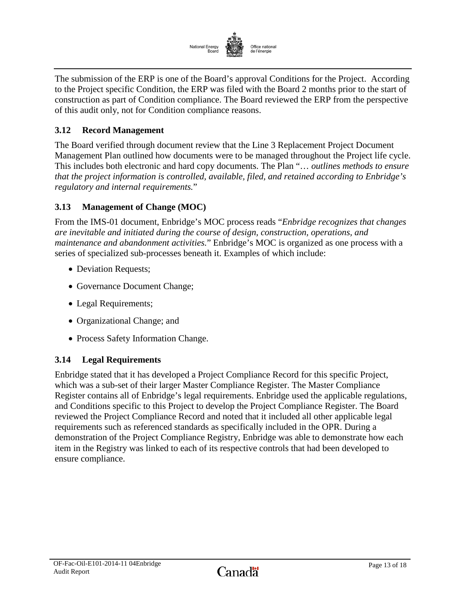

The submission of the ERP is one of the Board's approval Conditions for the Project. According to the Project specific Condition, the ERP was filed with the Board 2 months prior to the start of construction as part of Condition compliance. The Board reviewed the ERP from the perspective of this audit only, not for Condition compliance reasons.

# <span id="page-14-0"></span>**3.12 Record Management**

The Board verified through document review that the Line 3 Replacement Project Document Management Plan outlined how documents were to be managed throughout the Project life cycle. This includes both electronic and hard copy documents. The Plan "… *outlines methods to ensure that the project information is controlled, available, filed, and retained according to Enbridge's regulatory and internal requirements.*"

# <span id="page-14-1"></span>**3.13 Management of Change (MOC)**

From the IMS-01 document, Enbridge's MOC process reads "*Enbridge recognizes that changes are inevitable and initiated during the course of design, construction, operations, and maintenance and abandonment activities.*" Enbridge's MOC is organized as one process with a series of specialized sub-processes beneath it. Examples of which include:

- Deviation Requests;
- Governance Document Change;
- Legal Requirements;
- Organizational Change; and
- Process Safety Information Change.

## <span id="page-14-2"></span>**3.14 Legal Requirements**

Enbridge stated that it has developed a Project Compliance Record for this specific Project, which was a sub-set of their larger Master Compliance Register. The Master Compliance Register contains all of Enbridge's legal requirements. Enbridge used the applicable regulations, and Conditions specific to this Project to develop the Project Compliance Register. The Board reviewed the Project Compliance Record and noted that it included all other applicable legal requirements such as referenced standards as specifically included in the OPR. During a demonstration of the Project Compliance Registry, Enbridge was able to demonstrate how each item in the Registry was linked to each of its respective controls that had been developed to ensure compliance.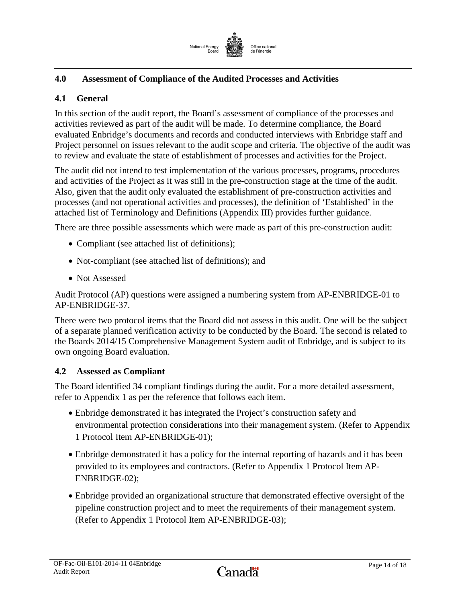

# <span id="page-15-0"></span>**4.0 Assessment of Compliance of the Audited Processes and Activities**

### <span id="page-15-1"></span>**4.1 General**

In this section of the audit report, the Board's assessment of compliance of the processes and activities reviewed as part of the audit will be made. To determine compliance, the Board evaluated Enbridge's documents and records and conducted interviews with Enbridge staff and Project personnel on issues relevant to the audit scope and criteria. The objective of the audit was to review and evaluate the state of establishment of processes and activities for the Project.

The audit did not intend to test implementation of the various processes, programs, procedures and activities of the Project as it was still in the pre-construction stage at the time of the audit. Also, given that the audit only evaluated the establishment of pre-construction activities and processes (and not operational activities and processes), the definition of 'Established' in the attached list of Terminology and Definitions (Appendix III) provides further guidance.

There are three possible assessments which were made as part of this pre-construction audit:

- Compliant (see attached list of definitions);
- Not-compliant (see attached list of definitions); and
- Not Assessed

Audit Protocol (AP) questions were assigned a numbering system from AP-ENBRIDGE-01 to AP-ENBRIDGE-37.

There were two protocol items that the Board did not assess in this audit. One will be the subject of a separate planned verification activity to be conducted by the Board. The second is related to the Boards 2014/15 Comprehensive Management System audit of Enbridge, and is subject to its own ongoing Board evaluation.

## <span id="page-15-2"></span>**4.2 Assessed as Compliant**

The Board identified 34 compliant findings during the audit. For a more detailed assessment, refer to Appendix 1 as per the reference that follows each item.

- Enbridge demonstrated it has integrated the Project's construction safety and environmental protection considerations into their management system. (Refer to Appendix 1 Protocol Item AP-ENBRIDGE-01);
- Enbridge demonstrated it has a policy for the internal reporting of hazards and it has been provided to its employees and contractors. (Refer to Appendix 1 Protocol Item AP-ENBRIDGE-02);
- Enbridge provided an organizational structure that demonstrated effective oversight of the pipeline construction project and to meet the requirements of their management system. (Refer to Appendix 1 Protocol Item AP-ENBRIDGE-03);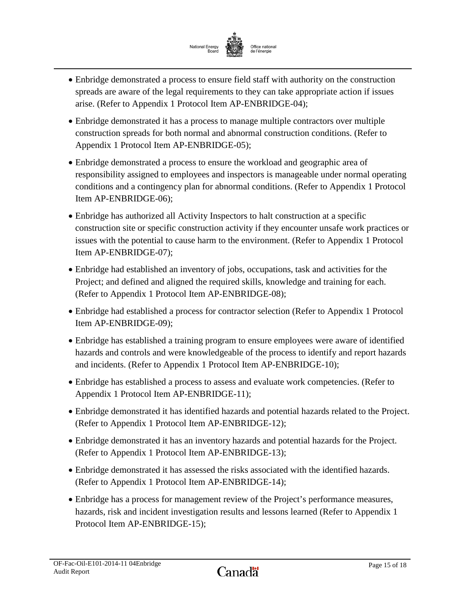

- Enbridge demonstrated a process to ensure field staff with authority on the construction spreads are aware of the legal requirements to they can take appropriate action if issues arise. (Refer to Appendix 1 Protocol Item AP-ENBRIDGE-04);
- Enbridge demonstrated it has a process to manage multiple contractors over multiple construction spreads for both normal and abnormal construction conditions. (Refer to Appendix 1 Protocol Item AP-ENBRIDGE-05);
- Enbridge demonstrated a process to ensure the workload and geographic area of responsibility assigned to employees and inspectors is manageable under normal operating conditions and a contingency plan for abnormal conditions. (Refer to Appendix 1 Protocol Item AP-ENBRIDGE-06);
- Enbridge has authorized all Activity Inspectors to halt construction at a specific construction site or specific construction activity if they encounter unsafe work practices or issues with the potential to cause harm to the environment. (Refer to Appendix 1 Protocol Item AP-ENBRIDGE-07);
- Enbridge had established an inventory of jobs, occupations, task and activities for the Project; and defined and aligned the required skills, knowledge and training for each. (Refer to Appendix 1 Protocol Item AP-ENBRIDGE-08);
- Enbridge had established a process for contractor selection (Refer to Appendix 1 Protocol Item AP-ENBRIDGE-09);
- Enbridge has established a training program to ensure employees were aware of identified hazards and controls and were knowledgeable of the process to identify and report hazards and incidents. (Refer to Appendix 1 Protocol Item AP-ENBRIDGE-10);
- Enbridge has established a process to assess and evaluate work competencies. (Refer to Appendix 1 Protocol Item AP-ENBRIDGE-11);
- Enbridge demonstrated it has identified hazards and potential hazards related to the Project. (Refer to Appendix 1 Protocol Item AP-ENBRIDGE-12);
- Enbridge demonstrated it has an inventory hazards and potential hazards for the Project. (Refer to Appendix 1 Protocol Item AP-ENBRIDGE-13);
- Enbridge demonstrated it has assessed the risks associated with the identified hazards. (Refer to Appendix 1 Protocol Item AP-ENBRIDGE-14);
- Enbridge has a process for management review of the Project's performance measures, hazards, risk and incident investigation results and lessons learned (Refer to Appendix 1 Protocol Item AP-ENBRIDGE-15);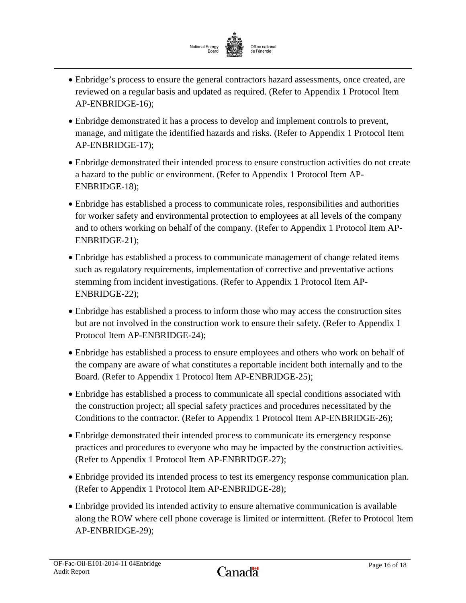

- Enbridge's process to ensure the general contractors hazard assessments, once created, are reviewed on a regular basis and updated as required. (Refer to Appendix 1 Protocol Item AP-ENBRIDGE-16);
- Enbridge demonstrated it has a process to develop and implement controls to prevent, manage, and mitigate the identified hazards and risks. (Refer to Appendix 1 Protocol Item AP-ENBRIDGE-17);
- Enbridge demonstrated their intended process to ensure construction activities do not create a hazard to the public or environment. (Refer to Appendix 1 Protocol Item AP-ENBRIDGE-18);
- Enbridge has established a process to communicate roles, responsibilities and authorities for worker safety and environmental protection to employees at all levels of the company and to others working on behalf of the company. (Refer to Appendix 1 Protocol Item AP-ENBRIDGE-21);
- Enbridge has established a process to communicate management of change related items such as regulatory requirements, implementation of corrective and preventative actions stemming from incident investigations. (Refer to Appendix 1 Protocol Item AP-ENBRIDGE-22);
- Enbridge has established a process to inform those who may access the construction sites but are not involved in the construction work to ensure their safety. (Refer to Appendix 1 Protocol Item AP-ENBRIDGE-24);
- Enbridge has established a process to ensure employees and others who work on behalf of the company are aware of what constitutes a reportable incident both internally and to the Board. (Refer to Appendix 1 Protocol Item AP-ENBRIDGE-25);
- Enbridge has established a process to communicate all special conditions associated with the construction project; all special safety practices and procedures necessitated by the Conditions to the contractor. (Refer to Appendix 1 Protocol Item AP-ENBRIDGE-26);
- Enbridge demonstrated their intended process to communicate its emergency response practices and procedures to everyone who may be impacted by the construction activities. (Refer to Appendix 1 Protocol Item AP-ENBRIDGE-27);
- Enbridge provided its intended process to test its emergency response communication plan. (Refer to Appendix 1 Protocol Item AP-ENBRIDGE-28);
- Enbridge provided its intended activity to ensure alternative communication is available along the ROW where cell phone coverage is limited or intermittent. (Refer to Protocol Item AP-ENBRIDGE-29);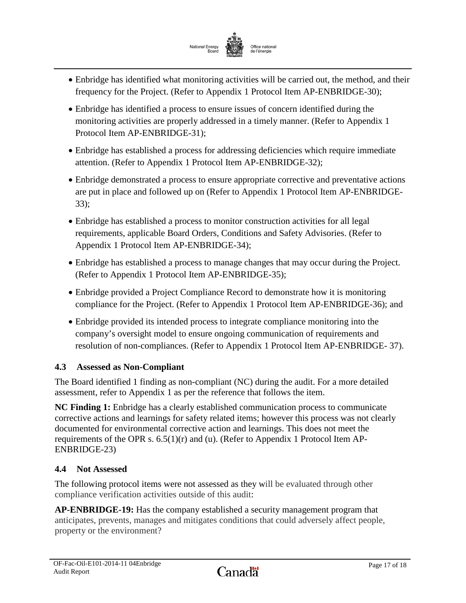

- Enbridge has identified what monitoring activities will be carried out, the method, and their frequency for the Project. (Refer to Appendix 1 Protocol Item AP-ENBRIDGE-30);
- Enbridge has identified a process to ensure issues of concern identified during the monitoring activities are properly addressed in a timely manner. (Refer to Appendix 1 Protocol Item AP-ENBRIDGE-31);
- Enbridge has established a process for addressing deficiencies which require immediate attention. (Refer to Appendix 1 Protocol Item AP-ENBRIDGE-32);
- Enbridge demonstrated a process to ensure appropriate corrective and preventative actions are put in place and followed up on (Refer to Appendix 1 Protocol Item AP-ENBRIDGE-33);
- Enbridge has established a process to monitor construction activities for all legal requirements, applicable Board Orders, Conditions and Safety Advisories. (Refer to Appendix 1 Protocol Item AP-ENBRIDGE-34);
- Enbridge has established a process to manage changes that may occur during the Project. (Refer to Appendix 1 Protocol Item AP-ENBRIDGE-35);
- Enbridge provided a Project Compliance Record to demonstrate how it is monitoring compliance for the Project. (Refer to Appendix 1 Protocol Item AP-ENBRIDGE-36); and
- Enbridge provided its intended process to integrate compliance monitoring into the company's oversight model to ensure ongoing communication of requirements and resolution of non-compliances. (Refer to Appendix 1 Protocol Item AP-ENBRIDGE- 37).

# <span id="page-18-0"></span>**4.3 Assessed as Non-Compliant**

The Board identified 1 finding as non-compliant (NC) during the audit. For a more detailed assessment, refer to Appendix 1 as per the reference that follows the item.

**NC Finding 1:** Enbridge has a clearly established communication process to communicate corrective actions and learnings for safety related items; however this process was not clearly documented for environmental corrective action and learnings. This does not meet the requirements of the OPR s.  $6.5(1)(r)$  and (u). (Refer to Appendix 1 Protocol Item AP-ENBRIDGE-23)

## <span id="page-18-1"></span>**4.4 Not Assessed**

The following protocol items were not assessed as they will be evaluated through other compliance verification activities outside of this audit:

**AP-ENBRIDGE-19:** Has the company established a security management program that anticipates, prevents, manages and mitigates conditions that could adversely affect people, property or the environment?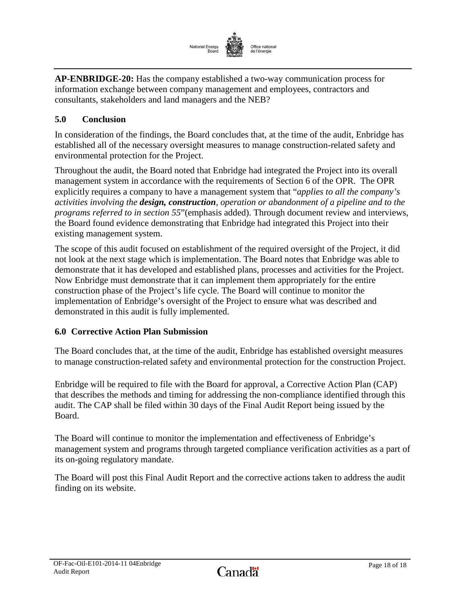

**AP-ENBRIDGE-20:** Has the company established a two-way communication process for information exchange between company management and employees, contractors and consultants, stakeholders and land managers and the NEB?

# <span id="page-19-0"></span>**5.0 Conclusion**

In consideration of the findings, the Board concludes that, at the time of the audit, Enbridge has established all of the necessary oversight measures to manage construction-related safety and environmental protection for the Project.

Throughout the audit, the Board noted that Enbridge had integrated the Project into its overall management system in accordance with the requirements of Section 6 of the OPR. The OPR explicitly requires a company to have a management system that "*applies to all the company's activities involving the design, construction, operation or abandonment of a pipeline and to the programs referred to in section 55*"(emphasis added). Through document review and interviews, the Board found evidence demonstrating that Enbridge had integrated this Project into their existing management system.

The scope of this audit focused on establishment of the required oversight of the Project, it did not look at the next stage which is implementation. The Board notes that Enbridge was able to demonstrate that it has developed and established plans, processes and activities for the Project. Now Enbridge must demonstrate that it can implement them appropriately for the entire construction phase of the Project's life cycle. The Board will continue to monitor the implementation of Enbridge's oversight of the Project to ensure what was described and demonstrated in this audit is fully implemented.

#### **6.0 Corrective Action Plan Submission**

The Board concludes that, at the time of the audit, Enbridge has established oversight measures to manage construction-related safety and environmental protection for the construction Project.

Enbridge will be required to file with the Board for approval, a Corrective Action Plan (CAP) that describes the methods and timing for addressing the non-compliance identified through this audit. The CAP shall be filed within 30 days of the Final Audit Report being issued by the Board.

The Board will continue to monitor the implementation and effectiveness of Enbridge's management system and programs through targeted compliance verification activities as a part of its on-going regulatory mandate.

The Board will post this Final Audit Report and the corrective actions taken to address the audit finding on its website.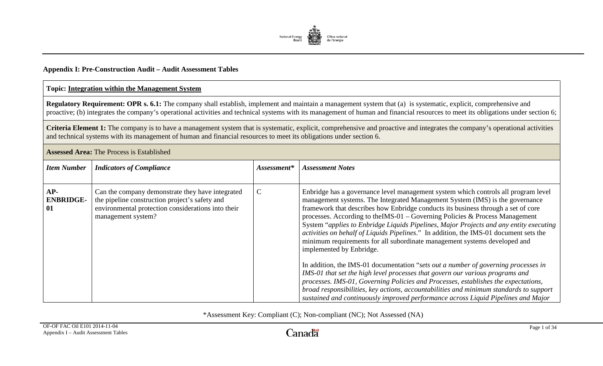

# **Appendix I: Pre-Construction Audit – Audit Assessment Tables**

#### **Topic: Integration within the Management System**

**Regulatory Requirement: OPR s. 6.1:** The company shall establish, implement and maintain a management system that (a) is systematic, explicit, comprehensive and proactive; (b) integrates the company's operational activities and technical systems with its management of human and financial resources to meet its obligations under section 6;

Criteria Element 1: The company is to have a management system that is systematic, explicit, comprehensive and proactive and integrates the company's operational activities and technical systems with its management of human and financial resources to meet its obligations under section 6.

**Assessed Area:** The Process is Established

<span id="page-20-0"></span>

| <b>Item Number</b>            | <b>Indicators of Compliance</b>                                                                                                                                                | Assessment*   | <b>Assessment Notes</b>                                                                                                                                                                                                                                                                                                                                                                                                                                                                                                                                                                                                                                                                                                                                                                                                                                                                                                                                                                                                                                                         |
|-------------------------------|--------------------------------------------------------------------------------------------------------------------------------------------------------------------------------|---------------|---------------------------------------------------------------------------------------------------------------------------------------------------------------------------------------------------------------------------------------------------------------------------------------------------------------------------------------------------------------------------------------------------------------------------------------------------------------------------------------------------------------------------------------------------------------------------------------------------------------------------------------------------------------------------------------------------------------------------------------------------------------------------------------------------------------------------------------------------------------------------------------------------------------------------------------------------------------------------------------------------------------------------------------------------------------------------------|
| AP-<br><b>ENBRIDGE-</b><br>01 | Can the company demonstrate they have integrated<br>the pipeline construction project's safety and<br>environmental protection considerations into their<br>management system? | $\mathcal{C}$ | Enbridge has a governance level management system which controls all program level<br>management systems. The Integrated Management System (IMS) is the governance<br>framework that describes how Enbridge conducts its business through a set of core<br>processes. According to the IMS-01 - Governing Policies & Process Management<br>System "applies to Enbridge Liquids Pipelines, Major Projects and any entity executing<br>activities on behalf of Liquids Pipelines." In addition, the IMS-01 document sets the<br>minimum requirements for all subordinate management systems developed and<br>implemented by Enbridge.<br>In addition, the IMS-01 documentation "sets out a number of governing processes in<br>IMS-01 that set the high level processes that govern our various programs and<br>processes. IMS-01, Governing Policies and Processes, establishes the expectations,<br>broad responsibilities, key actions, accountabilities and minimum standards to support<br>sustained and continuously improved performance across Liquid Pipelines and Major |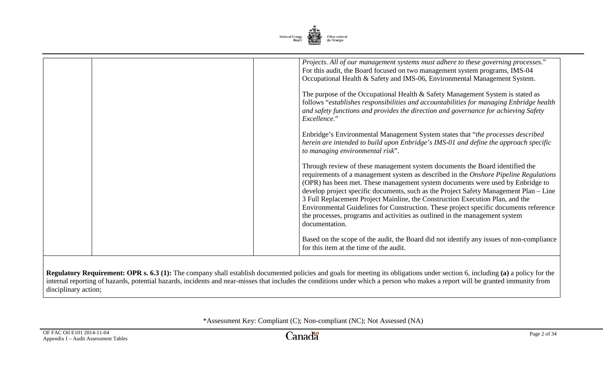

| Projects. All of our management systems must adhere to these governing processes."<br>For this audit, the Board focused on two management system programs, IMS-04<br>Occupational Health & Safety and IMS-06, Environmental Management System.<br>The purpose of the Occupational Health & Safety Management System is stated as<br>follows "establishes responsibilities and accountabilities for managing Enbridge health<br>and safety functions and provides the direction and governance for achieving Safety<br>Excellence."<br>Enbridge's Environmental Management System states that "the processes described"<br>herein are intended to build upon Enbridge's IMS-01 and define the approach specific |
|----------------------------------------------------------------------------------------------------------------------------------------------------------------------------------------------------------------------------------------------------------------------------------------------------------------------------------------------------------------------------------------------------------------------------------------------------------------------------------------------------------------------------------------------------------------------------------------------------------------------------------------------------------------------------------------------------------------|
| to managing environmental risk".<br>Through review of these management system documents the Board identified the<br>requirements of a management system as described in the Onshore Pipeline Regulations<br>(OPR) has been met. These management system documents were used by Enbridge to<br>develop project specific documents, such as the Project Safety Management Plan – Line<br>3 Full Replacement Project Mainline, the Construction Execution Plan, and the                                                                                                                                                                                                                                           |
| Environmental Guidelines for Construction. These project specific documents reference<br>the processes, programs and activities as outlined in the management system<br>documentation.<br>Based on the scope of the audit, the Board did not identify any issues of non-compliance<br>for this item at the time of the audit.                                                                                                                                                                                                                                                                                                                                                                                  |

**Regulatory Requirement: OPR s. 6.3 (1):** The company shall establish documented policies and goals for meeting its obligations under section 6, including **(a)** a policy for the internal reporting of hazards, potential hazards, incidents and near-misses that includes the conditions under which a person who makes a report will be granted immunity from disciplinary action;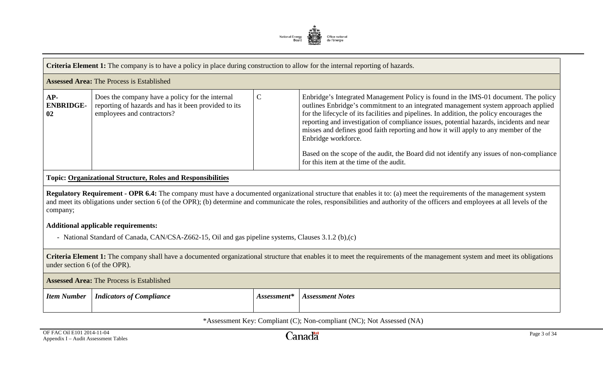

|                                                  | <b>Criteria Element 1:</b> The company is to have a policy in place during construction to allow for the internal reporting of hazards. |  |                                                                                                                                                                                                                                                                                                                                                                                                                                                                                                                                                                                                                       |  |
|--------------------------------------------------|-----------------------------------------------------------------------------------------------------------------------------------------|--|-----------------------------------------------------------------------------------------------------------------------------------------------------------------------------------------------------------------------------------------------------------------------------------------------------------------------------------------------------------------------------------------------------------------------------------------------------------------------------------------------------------------------------------------------------------------------------------------------------------------------|--|
| <b>Assessed Area: The Process is Established</b> |                                                                                                                                         |  |                                                                                                                                                                                                                                                                                                                                                                                                                                                                                                                                                                                                                       |  |
| $AP-$<br><b>ENBRIDGE-</b><br>02                  | Does the company have a policy for the internal<br>reporting of hazards and has it been provided to its<br>employees and contractors?   |  | Enbridge's Integrated Management Policy is found in the IMS-01 document. The policy<br>outlines Enbridge's commitment to an integrated management system approach applied<br>for the lifecycle of its facilities and pipelines. In addition, the policy encourages the<br>reporting and investigation of compliance issues, potential hazards, incidents and near<br>misses and defines good faith reporting and how it will apply to any member of the<br>Enbridge workforce.<br>Based on the scope of the audit, the Board did not identify any issues of non-compliance<br>for this item at the time of the audit. |  |

# **Topic: Organizational Structure, Roles and Responsibilities**

**Regulatory Requirement - OPR 6.4:** The company must have a documented organizational structure that enables it to: (a) meet the requirements of the management system and meet its obligations under section 6 (of the OPR); (b) determine and communicate the roles, responsibilities and authority of the officers and employees at all levels of the company;

#### **Additional applicable requirements:**

- National Standard of Canada, CAN/CSA-Z662-15, Oil and gas pipeline systems, Clauses 3.1.2 (b),(c)

**Criteria Element 1:** The company shall have a documented organizational structure that enables it to meet the requirements of the management system and meet its obligations under section 6 (of the OPR).

| <b>Assessed Area:</b> The Process is Established |                                 |             |                         |
|--------------------------------------------------|---------------------------------|-------------|-------------------------|
| <b>Item Number</b>                               | <i>Indicators of Compliance</i> | Assessment* | <b>Assessment Notes</b> |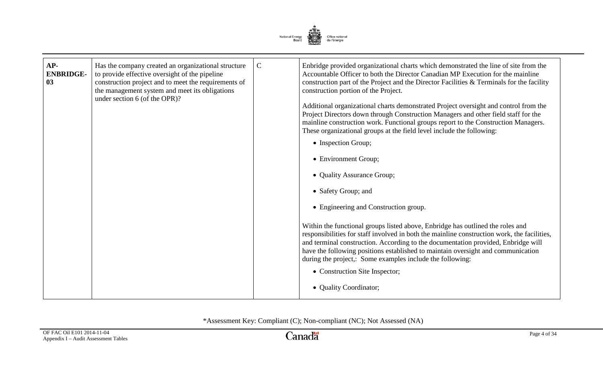

| AP-<br><b>ENBRIDGE-</b><br>03 | Has the company created an organizational structure<br>to provide effective oversight of the pipeline<br>construction project and to meet the requirements of<br>the management system and meet its obligations<br>under section 6 (of the OPR)? | $\mathbf C$ | Enbridge provided organizational charts which demonstrated the line of site from the<br>Accountable Officer to both the Director Canadian MP Execution for the mainline<br>construction part of the Project and the Director Facilities & Terminals for the facility<br>construction portion of the Project.<br>Additional organizational charts demonstrated Project oversight and control from the<br>Project Directors down through Construction Managers and other field staff for the<br>mainline construction work. Functional groups report to the Construction Managers.<br>These organizational groups at the field level include the following:<br>• Inspection Group;<br>• Environment Group;<br>• Quality Assurance Group;<br>• Safety Group; and<br>• Engineering and Construction group.<br>Within the functional groups listed above, Enbridge has outlined the roles and<br>responsibilities for staff involved in both the mainline construction work, the facilities,<br>and terminal construction. According to the documentation provided, Enbridge will<br>have the following positions established to maintain oversight and communication<br>during the project,: Some examples include the following:<br>• Construction Site Inspector;<br>• Quality Coordinator; |
|-------------------------------|--------------------------------------------------------------------------------------------------------------------------------------------------------------------------------------------------------------------------------------------------|-------------|-------------------------------------------------------------------------------------------------------------------------------------------------------------------------------------------------------------------------------------------------------------------------------------------------------------------------------------------------------------------------------------------------------------------------------------------------------------------------------------------------------------------------------------------------------------------------------------------------------------------------------------------------------------------------------------------------------------------------------------------------------------------------------------------------------------------------------------------------------------------------------------------------------------------------------------------------------------------------------------------------------------------------------------------------------------------------------------------------------------------------------------------------------------------------------------------------------------------------------------------------------------------------------------------|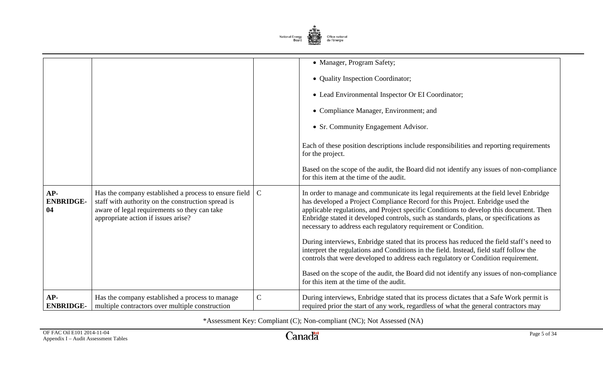

|                                 |                                                                                                                                                                                                    |               | • Manager, Program Safety;<br>• Quality Inspection Coordinator;<br>• Lead Environmental Inspector Or EI Coordinator;<br>• Compliance Manager, Environment; and<br>• Sr. Community Engagement Advisor.                                                                                                                                                                                                                                                                                                                                                                                                                                                                                                                                                                                                                                          |
|---------------------------------|----------------------------------------------------------------------------------------------------------------------------------------------------------------------------------------------------|---------------|------------------------------------------------------------------------------------------------------------------------------------------------------------------------------------------------------------------------------------------------------------------------------------------------------------------------------------------------------------------------------------------------------------------------------------------------------------------------------------------------------------------------------------------------------------------------------------------------------------------------------------------------------------------------------------------------------------------------------------------------------------------------------------------------------------------------------------------------|
|                                 |                                                                                                                                                                                                    |               | Each of these position descriptions include responsibilities and reporting requirements<br>for the project.<br>Based on the scope of the audit, the Board did not identify any issues of non-compliance<br>for this item at the time of the audit.                                                                                                                                                                                                                                                                                                                                                                                                                                                                                                                                                                                             |
| $AP-$<br><b>ENBRIDGE-</b><br>04 | Has the company established a process to ensure field<br>staff with authority on the construction spread is<br>aware of legal requirements so they can take<br>appropriate action if issues arise? | $\mathcal{C}$ | In order to manage and communicate its legal requirements at the field level Enbridge<br>has developed a Project Compliance Record for this Project. Enbridge used the<br>applicable regulations, and Project specific Conditions to develop this document. Then<br>Enbridge stated it developed controls, such as standards, plans, or specifications as<br>necessary to address each regulatory requirement or Condition.<br>During interviews, Enbridge stated that its process has reduced the field staff's need to<br>interpret the regulations and Conditions in the field. Instead, field staff follow the<br>controls that were developed to address each regulatory or Condition requirement.<br>Based on the scope of the audit, the Board did not identify any issues of non-compliance<br>for this item at the time of the audit. |
| AP-<br><b>ENBRIDGE-</b>         | Has the company established a process to manage<br>multiple contractors over multiple construction                                                                                                 | $\mathsf{C}$  | During interviews, Enbridge stated that its process dictates that a Safe Work permit is<br>required prior the start of any work, regardless of what the general contractors may                                                                                                                                                                                                                                                                                                                                                                                                                                                                                                                                                                                                                                                                |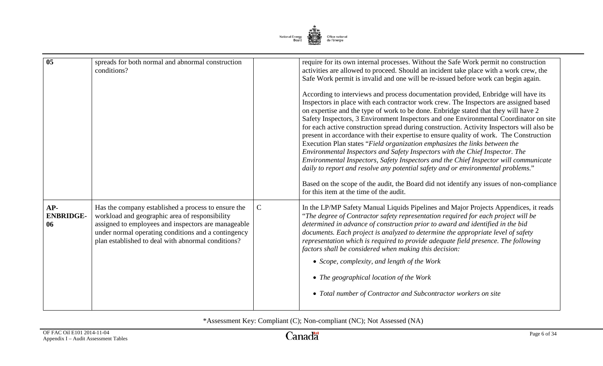

| $\overline{05}$               | spreads for both normal and abnormal construction<br>conditions?                                                                                                                                                                                                          |             | require for its own internal processes. Without the Safe Work permit no construction<br>activities are allowed to proceed. Should an incident take place with a work crew, the<br>Safe Work permit is invalid and one will be re-issued before work can begin again.<br>According to interviews and process documentation provided, Enbridge will have its<br>Inspectors in place with each contractor work crew. The Inspectors are assigned based<br>on expertise and the type of work to be done. Enbridge stated that they will have 2<br>Safety Inspectors, 3 Environment Inspectors and one Environmental Coordinator on site<br>for each active construction spread during construction. Activity Inspectors will also be<br>present in accordance with their expertise to ensure quality of work. The Construction<br>Execution Plan states "Field organization emphasizes the links between the<br>Environmental Inspectors and Safety Inspectors with the Chief Inspector. The<br>Environmental Inspectors, Safety Inspectors and the Chief Inspector will communicate<br>daily to report and resolve any potential safety and or environmental problems."<br>Based on the scope of the audit, the Board did not identify any issues of non-compliance<br>for this item at the time of the audit. |
|-------------------------------|---------------------------------------------------------------------------------------------------------------------------------------------------------------------------------------------------------------------------------------------------------------------------|-------------|-------------------------------------------------------------------------------------------------------------------------------------------------------------------------------------------------------------------------------------------------------------------------------------------------------------------------------------------------------------------------------------------------------------------------------------------------------------------------------------------------------------------------------------------------------------------------------------------------------------------------------------------------------------------------------------------------------------------------------------------------------------------------------------------------------------------------------------------------------------------------------------------------------------------------------------------------------------------------------------------------------------------------------------------------------------------------------------------------------------------------------------------------------------------------------------------------------------------------------------------------------------------------------------------------------------|
| AP-<br><b>ENBRIDGE-</b><br>06 | Has the company established a process to ensure the<br>workload and geographic area of responsibility<br>assigned to employees and inspectors are manageable<br>under normal operating conditions and a contingency<br>plan established to deal with abnormal conditions? | $\mathbf C$ | In the LP/MP Safety Manual Liquids Pipelines and Major Projects Appendices, it reads<br>"The degree of Contractor safety representation required for each project will be<br>determined in advance of construction prior to award and identified in the bid<br>documents. Each project is analyzed to determine the appropriate level of safety<br>representation which is required to provide adequate field presence. The following<br>factors shall be considered when making this decision:<br>• Scope, complexity, and length of the Work<br>• The geographical location of the Work<br>• Total number of Contractor and Subcontractor workers on site                                                                                                                                                                                                                                                                                                                                                                                                                                                                                                                                                                                                                                                 |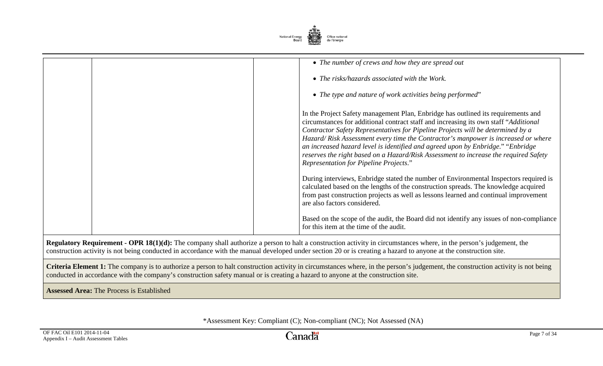

| • The number of crews and how they are spread out                                                                                                                                                                                                                                                                                                                                                                                                                                                                                                                             |
|-------------------------------------------------------------------------------------------------------------------------------------------------------------------------------------------------------------------------------------------------------------------------------------------------------------------------------------------------------------------------------------------------------------------------------------------------------------------------------------------------------------------------------------------------------------------------------|
| • The risks/hazards associated with the Work.                                                                                                                                                                                                                                                                                                                                                                                                                                                                                                                                 |
| • The type and nature of work activities being performed"                                                                                                                                                                                                                                                                                                                                                                                                                                                                                                                     |
| In the Project Safety management Plan, Enbridge has outlined its requirements and<br>circumstances for additional contract staff and increasing its own staff "Additional<br>Contractor Safety Representatives for Pipeline Projects will be determined by a<br>Hazard/Risk Assessment every time the Contractor's manpower is increased or where<br>an increased hazard level is identified and agreed upon by Enbridge." "Enbridge<br>reserves the right based on a Hazard/Risk Assessment to increase the required Safety<br><b>Representation for Pipeline Projects."</b> |
| During interviews, Enbridge stated the number of Environmental Inspectors required is<br>calculated based on the lengths of the construction spreads. The knowledge acquired<br>from past construction projects as well as lessons learned and continual improvement<br>are also factors considered.                                                                                                                                                                                                                                                                          |
| Based on the scope of the audit, the Board did not identify any issues of non-compliance<br>for this item at the time of the audit.                                                                                                                                                                                                                                                                                                                                                                                                                                           |

**Regulatory Requirement - OPR 18(1)(d):** The company shall authorize a person to halt a construction activity in circumstances where, in the person's judgement, the construction activity is not being conducted in accordance with the manual developed under section 20 or is creating a hazard to anyone at the construction site.

**Criteria Element 1:** The company is to authorize a person to halt construction activity in circumstances where, in the person's judgement, the construction activity is not being conducted in accordance with the company's construction safety manual or is creating a hazard to anyone at the construction site.

**Assessed Area:** The Process is Established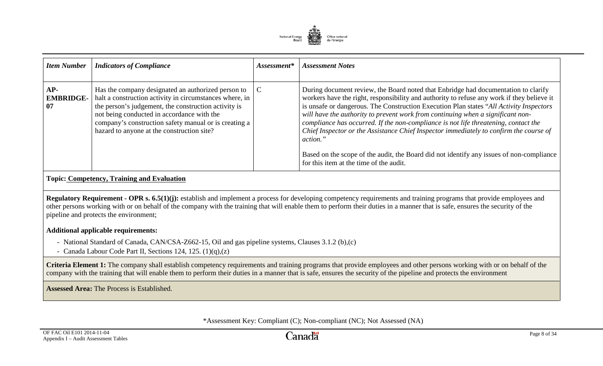

| <b>Item Number</b>              | <b>Indicators of Compliance</b>                                                                                                                                                                                                                                                                                            | Assessment* | <b>Assessment Notes</b>                                                                                                                                                                                                                                                                                                                                                                                                                                                                                                                                                                                                                                                                             |
|---------------------------------|----------------------------------------------------------------------------------------------------------------------------------------------------------------------------------------------------------------------------------------------------------------------------------------------------------------------------|-------------|-----------------------------------------------------------------------------------------------------------------------------------------------------------------------------------------------------------------------------------------------------------------------------------------------------------------------------------------------------------------------------------------------------------------------------------------------------------------------------------------------------------------------------------------------------------------------------------------------------------------------------------------------------------------------------------------------------|
| $AP-$<br><b>EMBRIDGE-</b><br>07 | Has the company designated an authorized person to<br>halt a construction activity in circumstances where, in<br>the person's judgement, the construction activity is<br>not being conducted in accordance with the<br>company's construction safety manual or is creating a<br>hazard to anyone at the construction site? | C           | During document review, the Board noted that Enbridge had documentation to clarify<br>workers have the right, responsibility and authority to refuse any work if they believe it<br>is unsafe or dangerous. The Construction Execution Plan states "All Activity Inspectors"<br>will have the authority to prevent work from continuing when a significant non-<br>compliance has occurred. If the non-compliance is not life threatening, contact the<br>Chief Inspector or the Assistance Chief Inspector immediately to confirm the course of<br>action."<br>Based on the scope of the audit, the Board did not identify any issues of non-compliance<br>for this item at the time of the audit. |

# **Topic: Competency, Training and Evaluation**

**Regulatory Requirement - OPR s. 6.5(1)(j):** establish and implement a process for developing competency requirements and training programs that provide employees and other persons working with or on behalf of the company with the training that will enable them to perform their duties in a manner that is safe, ensures the security of the pipeline and protects the environment;

#### **Additional applicable requirements:**

- National Standard of Canada, CAN/CSA-Z662-15, Oil and gas pipeline systems, Clauses 3.1.2 (b),(c)
- Canada Labour Code Part II, Sections 124, 125. (1)(q),(z)

**Criteria Element 1:** The company shall establish competency requirements and training programs that provide employees and other persons working with or on behalf of the company with the training that will enable them to perform their duties in a manner that is safe, ensures the security of the pipeline and protects the environment

**Assessed Area:** The Process is Established.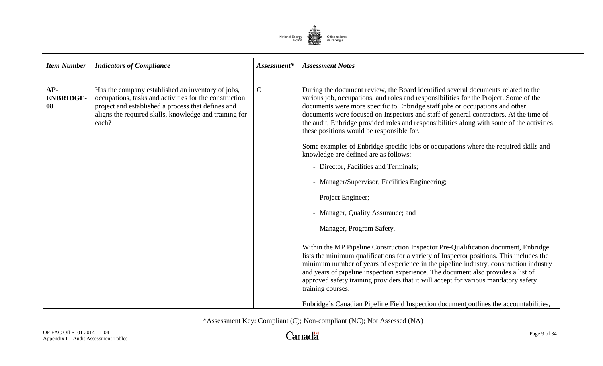

| <b>Item Number</b>            | <b>Indicators of Compliance</b>                                                                                                                                                                                                      | Assessment* | <b>Assessment Notes</b>                                                                                                                                                                                                                                                                                                                                                                                                                                                                                                                                                                                                                                                                                                                                                                                                                                                                                                                                                                                                                                                                                                                                                                                                                                                                        |
|-------------------------------|--------------------------------------------------------------------------------------------------------------------------------------------------------------------------------------------------------------------------------------|-------------|------------------------------------------------------------------------------------------------------------------------------------------------------------------------------------------------------------------------------------------------------------------------------------------------------------------------------------------------------------------------------------------------------------------------------------------------------------------------------------------------------------------------------------------------------------------------------------------------------------------------------------------------------------------------------------------------------------------------------------------------------------------------------------------------------------------------------------------------------------------------------------------------------------------------------------------------------------------------------------------------------------------------------------------------------------------------------------------------------------------------------------------------------------------------------------------------------------------------------------------------------------------------------------------------|
| AP-<br><b>ENBRIDGE-</b><br>08 | Has the company established an inventory of jobs,<br>occupations, tasks and activities for the construction<br>project and established a process that defines and<br>aligns the required skills, knowledge and training for<br>each? | $\mathbf C$ | During the document review, the Board identified several documents related to the<br>various job, occupations, and roles and responsibilities for the Project. Some of the<br>documents were more specific to Enbridge staff jobs or occupations and other<br>documents were focused on Inspectors and staff of general contractors. At the time of<br>the audit, Enbridge provided roles and responsibilities along with some of the activities<br>these positions would be responsible for.<br>Some examples of Enbridge specific jobs or occupations where the required skills and<br>knowledge are defined are as follows:<br>- Director, Facilities and Terminals;<br>- Manager/Supervisor, Facilities Engineering;<br>- Project Engineer;<br>- Manager, Quality Assurance; and<br>- Manager, Program Safety.<br>Within the MP Pipeline Construction Inspector Pre-Qualification document, Enbridge<br>lists the minimum qualifications for a variety of Inspector positions. This includes the<br>minimum number of years of experience in the pipeline industry, construction industry<br>and years of pipeline inspection experience. The document also provides a list of<br>approved safety training providers that it will accept for various mandatory safety<br>training courses. |
|                               |                                                                                                                                                                                                                                      |             | Enbridge's Canadian Pipeline Field Inspection document outlines the accountabilities,                                                                                                                                                                                                                                                                                                                                                                                                                                                                                                                                                                                                                                                                                                                                                                                                                                                                                                                                                                                                                                                                                                                                                                                                          |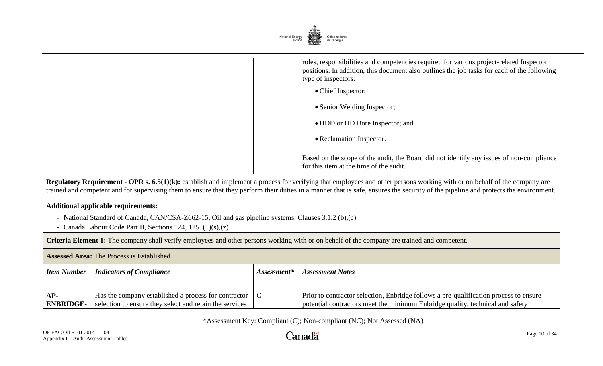

|  | roles, responsibilities and competencies required for various project-related Inspector<br>positions. In addition, this document also outlines the job tasks for each of the following<br>type of inspectors: |
|--|---------------------------------------------------------------------------------------------------------------------------------------------------------------------------------------------------------------|
|  | • Chief Inspector;                                                                                                                                                                                            |
|  | • Senior Welding Inspector;                                                                                                                                                                                   |
|  | • HDD or HD Bore Inspector; and                                                                                                                                                                               |
|  | • Reclamation Inspector.                                                                                                                                                                                      |
|  | Based on the scope of the audit, the Board did not identify any issues of non-compliance<br>for this item at the time of the audit.                                                                           |

**Regulatory Requirement - OPR s. 6.5(1)(k):** establish and implement a process for verifying that employees and other persons working with or on behalf of the company are trained and competent and for supervising them to ensure that they perform their duties in a manner that is safe, ensures the security of the pipeline and protects the environment.

# **Additional applicable requirements:**

- National Standard of Canada, CAN/CSA-Z662-15, Oil and gas pipeline systems, Clauses 3.1.2 (b),(c)
- Canada Labour Code Part II, Sections 124, 125. (1)(s),(z)

**Criteria Element 1:** The company shall verify employees and other persons working with or on behalf of the company are trained and competent.

| <b>Assessed Area:</b> The Process is Established |                                                                                                                   |               |                                                                                                                                                                        |
|--------------------------------------------------|-------------------------------------------------------------------------------------------------------------------|---------------|------------------------------------------------------------------------------------------------------------------------------------------------------------------------|
| Item Number                                      | <b>Indicators of Compliance</b>                                                                                   | $Assessment*$ | <b>Assessment Notes</b>                                                                                                                                                |
| $AP-$<br><b>ENBRIDGE-</b>                        | Has the company established a process for contractor  <br>selection to ensure they select and retain the services |               | Prior to contractor selection, Enbridge follows a pre-qualification process to ensure<br>potential contractors meet the minimum Enbridge quality, technical and safety |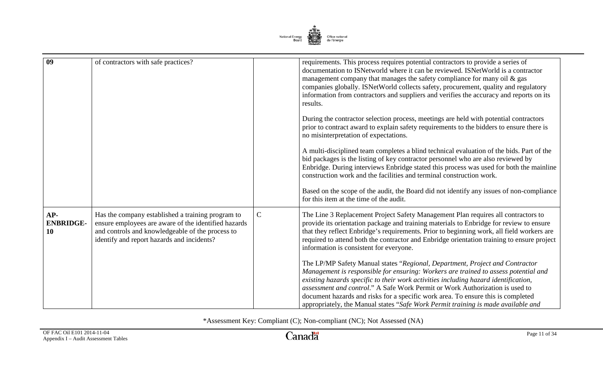

| $\overline{09}$               | of contractors with safe practices?                                                                                                                                                                         |              | requirements. This process requires potential contractors to provide a series of<br>documentation to ISNetworld where it can be reviewed. ISNetWorld is a contractor<br>management company that manages the safety compliance for many oil $\&$ gas<br>companies globally. ISNetWorld collects safety, procurement, quality and regulatory<br>information from contractors and suppliers and verifies the accuracy and reports on its<br>results.                                                                    |
|-------------------------------|-------------------------------------------------------------------------------------------------------------------------------------------------------------------------------------------------------------|--------------|----------------------------------------------------------------------------------------------------------------------------------------------------------------------------------------------------------------------------------------------------------------------------------------------------------------------------------------------------------------------------------------------------------------------------------------------------------------------------------------------------------------------|
|                               |                                                                                                                                                                                                             |              | During the contractor selection process, meetings are held with potential contractors<br>prior to contract award to explain safety requirements to the bidders to ensure there is<br>no misinterpretation of expectations.                                                                                                                                                                                                                                                                                           |
|                               |                                                                                                                                                                                                             |              | A multi-disciplined team completes a blind technical evaluation of the bids. Part of the<br>bid packages is the listing of key contractor personnel who are also reviewed by<br>Enbridge. During interviews Enbridge stated this process was used for both the mainline<br>construction work and the facilities and terminal construction work.                                                                                                                                                                      |
|                               |                                                                                                                                                                                                             |              | Based on the scope of the audit, the Board did not identify any issues of non-compliance<br>for this item at the time of the audit.                                                                                                                                                                                                                                                                                                                                                                                  |
| AP-<br><b>ENBRIDGE-</b><br>10 | Has the company established a training program to<br>ensure employees are aware of the identified hazards<br>and controls and knowledgeable of the process to<br>identify and report hazards and incidents? | $\mathsf{C}$ | The Line 3 Replacement Project Safety Management Plan requires all contractors to<br>provide its orientation package and training materials to Enbridge for review to ensure<br>that they reflect Enbridge's requirements. Prior to beginning work, all field workers are<br>required to attend both the contractor and Enbridge orientation training to ensure project<br>information is consistent for everyone.                                                                                                   |
|                               |                                                                                                                                                                                                             |              | The LP/MP Safety Manual states "Regional, Department, Project and Contractor"<br>Management is responsible for ensuring: Workers are trained to assess potential and<br>existing hazards specific to their work activities including hazard identification,<br>assessment and control." A Safe Work Permit or Work Authorization is used to<br>document hazards and risks for a specific work area. To ensure this is completed<br>appropriately, the Manual states "Safe Work Permit training is made available and |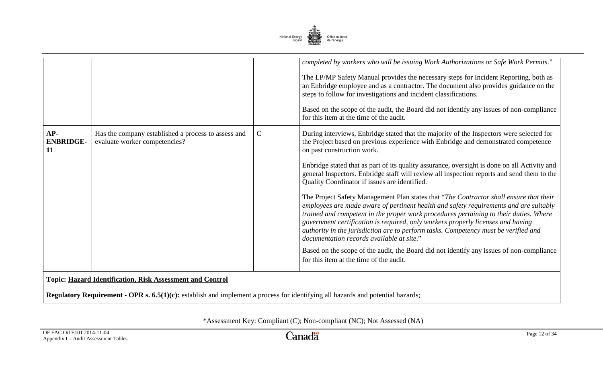

|                               |                                                                                                                                        |             | completed by workers who will be issuing Work Authorizations or Safe Work Permits."<br>The LP/MP Safety Manual provides the necessary steps for Incident Reporting, both as<br>an Enbridge employee and as a contractor. The document also provides guidance on the<br>steps to follow for investigations and incident classifications.                                                                                                                                                         |  |  |
|-------------------------------|----------------------------------------------------------------------------------------------------------------------------------------|-------------|-------------------------------------------------------------------------------------------------------------------------------------------------------------------------------------------------------------------------------------------------------------------------------------------------------------------------------------------------------------------------------------------------------------------------------------------------------------------------------------------------|--|--|
|                               |                                                                                                                                        |             | Based on the scope of the audit, the Board did not identify any issues of non-compliance<br>for this item at the time of the audit.                                                                                                                                                                                                                                                                                                                                                             |  |  |
| AP-<br><b>ENBRIDGE-</b><br>11 | Has the company established a process to assess and<br>evaluate worker competencies?                                                   | $\mathbf C$ | During interviews, Enbridge stated that the majority of the Inspectors were selected for<br>the Project based on previous experience with Enbridge and demonstrated competence<br>on past construction work.                                                                                                                                                                                                                                                                                    |  |  |
|                               |                                                                                                                                        |             | Enbridge stated that as part of its quality assurance, oversight is done on all Activity and<br>general Inspectors. Enbridge staff will review all inspection reports and send them to the<br>Quality Coordinator if issues are identified.                                                                                                                                                                                                                                                     |  |  |
|                               |                                                                                                                                        |             | The Project Safety Management Plan states that "The Contractor shall ensure that their<br>employees are made aware of pertinent health and safety requirements and are suitably<br>trained and competent in the proper work procedures pertaining to their duties. Where<br>government certification is required, only workers properly licenses and having<br>authority in the jurisdiction are to perform tasks. Competency must be verified and<br>documentation records available at site." |  |  |
|                               |                                                                                                                                        |             | Based on the scope of the audit, the Board did not identify any issues of non-compliance<br>for this item at the time of the audit.                                                                                                                                                                                                                                                                                                                                                             |  |  |
|                               | <b>Topic: Hazard Identification, Risk Assessment and Control</b>                                                                       |             |                                                                                                                                                                                                                                                                                                                                                                                                                                                                                                 |  |  |
|                               | <b>Regulatory Requirement - OPR s. 6.5(1)(c):</b> establish and implement a process for identifying all hazards and potential hazards; |             |                                                                                                                                                                                                                                                                                                                                                                                                                                                                                                 |  |  |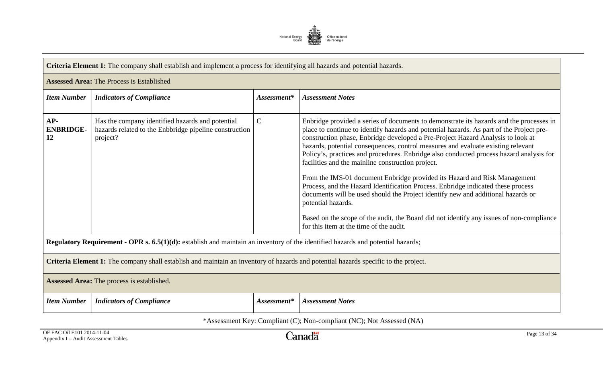

|                                 | Criteria Element 1: The company shall establish and implement a process for identifying all hazards and potential hazards.          |               |                                                                                                                                                                                                                                                                                                                                                                                                                                                                                                                                                                                                                                                                                                                                                                                                                                                                                                                              |  |
|---------------------------------|-------------------------------------------------------------------------------------------------------------------------------------|---------------|------------------------------------------------------------------------------------------------------------------------------------------------------------------------------------------------------------------------------------------------------------------------------------------------------------------------------------------------------------------------------------------------------------------------------------------------------------------------------------------------------------------------------------------------------------------------------------------------------------------------------------------------------------------------------------------------------------------------------------------------------------------------------------------------------------------------------------------------------------------------------------------------------------------------------|--|
|                                 | <b>Assessed Area: The Process is Established</b>                                                                                    |               |                                                                                                                                                                                                                                                                                                                                                                                                                                                                                                                                                                                                                                                                                                                                                                                                                                                                                                                              |  |
| <b>Item Number</b>              | <b>Indicators of Compliance</b>                                                                                                     | Assessment*   | <b>Assessment Notes</b>                                                                                                                                                                                                                                                                                                                                                                                                                                                                                                                                                                                                                                                                                                                                                                                                                                                                                                      |  |
| $AP-$<br><b>ENBRIDGE-</b><br>12 | Has the company identified hazards and potential<br>hazards related to the Enbbridge pipeline construction<br>project?              | $\mathcal{C}$ | Enbridge provided a series of documents to demonstrate its hazards and the processes in<br>place to continue to identify hazards and potential hazards. As part of the Project pre-<br>construction phase, Enbridge developed a Pre-Project Hazard Analysis to look at<br>hazards, potential consequences, control measures and evaluate existing relevant<br>Policy's, practices and procedures. Enbridge also conducted process hazard analysis for<br>facilities and the mainline construction project.<br>From the IMS-01 document Enbridge provided its Hazard and Risk Management<br>Process, and the Hazard Identification Process. Enbridge indicated these process<br>documents will be used should the Project identify new and additional hazards or<br>potential hazards.<br>Based on the scope of the audit, the Board did not identify any issues of non-compliance<br>for this item at the time of the audit. |  |
|                                 | Regulatory Requirement - OPR s. $6.5(1)(d)$ : establish and maintain an inventory of the identified hazards and potential hazards;  |               |                                                                                                                                                                                                                                                                                                                                                                                                                                                                                                                                                                                                                                                                                                                                                                                                                                                                                                                              |  |
|                                 | Criteria Element 1: The company shall establish and maintain an inventory of hazards and potential hazards specific to the project. |               |                                                                                                                                                                                                                                                                                                                                                                                                                                                                                                                                                                                                                                                                                                                                                                                                                                                                                                                              |  |
|                                 | Assessed Area: The process is established.                                                                                          |               |                                                                                                                                                                                                                                                                                                                                                                                                                                                                                                                                                                                                                                                                                                                                                                                                                                                                                                                              |  |
| <b>Item Number</b>              | <b>Indicators of Compliance</b>                                                                                                     | Assessment*   | <b>Assessment Notes</b>                                                                                                                                                                                                                                                                                                                                                                                                                                                                                                                                                                                                                                                                                                                                                                                                                                                                                                      |  |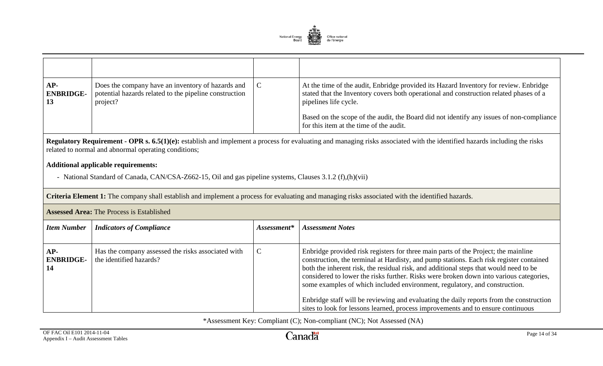

| AP-<br><b>ENBRIDGE-</b> | Does the company have an inventory of hazards and<br>potential hazards related to the pipeline construction<br>project? | C | At the time of the audit, Enbridge provided its Hazard Inventory for review. Enbridge<br>stated that the Inventory covers both operational and construction related phases of a<br>pipelines life cycle.<br>Based on the scope of the audit, the Board did not identify any issues of non-compliance |
|-------------------------|-------------------------------------------------------------------------------------------------------------------------|---|------------------------------------------------------------------------------------------------------------------------------------------------------------------------------------------------------------------------------------------------------------------------------------------------------|
|                         |                                                                                                                         |   | for this item at the time of the audit.                                                                                                                                                                                                                                                              |

**Regulatory Requirement - OPR s. 6.5(1)(e):** establish and implement a process for evaluating and managing risks associated with the identified hazards including the risks related to normal and abnormal operating conditions;

## **Additional applicable requirements:**

- National Standard of Canada, CAN/CSA-Z662-15, Oil and gas pipeline systems, Clauses 3.1.2 (f),(h)(vii)

**Criteria Element 1:** The company shall establish and implement a process for evaluating and managing risks associated with the identified hazards.

|                               | <b>Assessed Area: The Process is Established</b>                              |               |                                                                                                                                                                                                                                                                                                                                                                                                                                                                                                                                                                                                                               |  |  |
|-------------------------------|-------------------------------------------------------------------------------|---------------|-------------------------------------------------------------------------------------------------------------------------------------------------------------------------------------------------------------------------------------------------------------------------------------------------------------------------------------------------------------------------------------------------------------------------------------------------------------------------------------------------------------------------------------------------------------------------------------------------------------------------------|--|--|
| <b>Item Number</b>            | <b>Indicators of Compliance</b>                                               | $Assessment*$ | <b>Assessment Notes</b>                                                                                                                                                                                                                                                                                                                                                                                                                                                                                                                                                                                                       |  |  |
| AP-<br><b>ENBRIDGE-</b><br>14 | Has the company assessed the risks associated with<br>the identified hazards? | $\mathsf{C}$  | Enbridge provided risk registers for three main parts of the Project; the mainline<br>construction, the terminal at Hardisty, and pump stations. Each risk register contained<br>both the inherent risk, the residual risk, and additional steps that would need to be<br>considered to lower the risks further. Risks were broken down into various categories,<br>some examples of which included environment, regulatory, and construction.<br>Enbridge staff will be reviewing and evaluating the daily reports from the construction<br>sites to look for lessons learned, process improvements and to ensure continuous |  |  |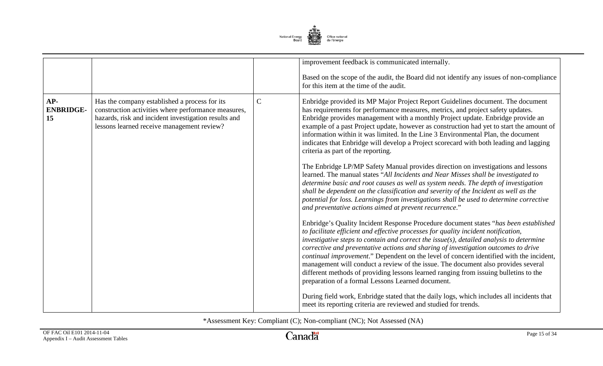

|                               |                                                                                                                                                                                                            |              | improvement feedback is communicated internally.                                                                                                                                                                                                                                                                                                                                                                                                                                                                                                                                                                                                                                           |
|-------------------------------|------------------------------------------------------------------------------------------------------------------------------------------------------------------------------------------------------------|--------------|--------------------------------------------------------------------------------------------------------------------------------------------------------------------------------------------------------------------------------------------------------------------------------------------------------------------------------------------------------------------------------------------------------------------------------------------------------------------------------------------------------------------------------------------------------------------------------------------------------------------------------------------------------------------------------------------|
|                               |                                                                                                                                                                                                            |              | Based on the scope of the audit, the Board did not identify any issues of non-compliance<br>for this item at the time of the audit.                                                                                                                                                                                                                                                                                                                                                                                                                                                                                                                                                        |
| AP-<br><b>ENBRIDGE-</b><br>15 | Has the company established a process for its<br>construction activities where performance measures,<br>hazards, risk and incident investigation results and<br>lessons learned receive management review? | $\mathsf{C}$ | Enbridge provided its MP Major Project Report Guidelines document. The document<br>has requirements for performance measures, metrics, and project safety updates.<br>Enbridge provides management with a monthly Project update. Enbridge provide an<br>example of a past Project update, however as construction had yet to start the amount of<br>information within it was limited. In the Line 3 Environmental Plan, the document<br>indicates that Enbridge will develop a Project scorecard with both leading and lagging<br>criteria as part of the reporting.                                                                                                                     |
|                               |                                                                                                                                                                                                            |              | The Enbridge LP/MP Safety Manual provides direction on investigations and lessons<br>learned. The manual states "All Incidents and Near Misses shall be investigated to<br>determine basic and root causes as well as system needs. The depth of investigation<br>shall be dependent on the classification and severity of the Incident as well as the<br>potential for loss. Learnings from investigations shall be used to determine corrective<br>and preventative actions aimed at prevent recurrence."                                                                                                                                                                                |
|                               |                                                                                                                                                                                                            |              | Enbridge's Quality Incident Response Procedure document states "has been established<br>to facilitate efficient and effective processes for quality incident notification,<br>$investigative steps to contain and correct the issue(s), detailed analysis to determine$<br>corrective and preventative actions and sharing of investigation outcomes to drive<br>continual improvement." Dependent on the level of concern identified with the incident,<br>management will conduct a review of the issue. The document also provides several<br>different methods of providing lessons learned ranging from issuing bulletins to the<br>preparation of a formal Lessons Learned document. |
|                               |                                                                                                                                                                                                            |              | During field work, Enbridge stated that the daily logs, which includes all incidents that<br>meet its reporting criteria are reviewed and studied for trends.                                                                                                                                                                                                                                                                                                                                                                                                                                                                                                                              |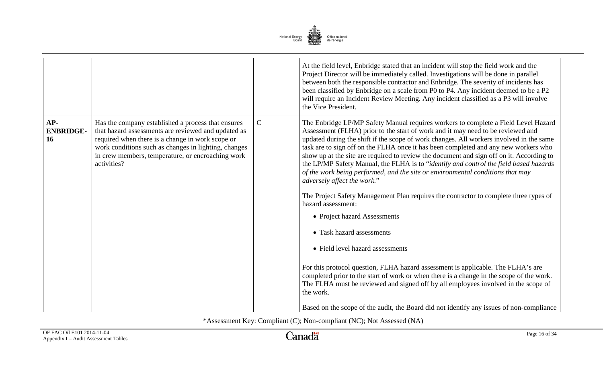

|                               |                                                                                                                                                                                                                                                                                           |              | At the field level, Enbridge stated that an incident will stop the field work and the<br>Project Director will be immediately called. Investigations will be done in parallel<br>between both the responsible contractor and Enbridge. The severity of incidents has<br>been classified by Enbridge on a scale from P0 to P4. Any incident deemed to be a P2<br>will require an Incident Review Meeting. Any incident classified as a P3 will involve<br>the Vice President.                                                                                                                                                                                                                                                                                                                                                                                                                                                                                                                                                                                                                                                                                                                                                                                 |
|-------------------------------|-------------------------------------------------------------------------------------------------------------------------------------------------------------------------------------------------------------------------------------------------------------------------------------------|--------------|--------------------------------------------------------------------------------------------------------------------------------------------------------------------------------------------------------------------------------------------------------------------------------------------------------------------------------------------------------------------------------------------------------------------------------------------------------------------------------------------------------------------------------------------------------------------------------------------------------------------------------------------------------------------------------------------------------------------------------------------------------------------------------------------------------------------------------------------------------------------------------------------------------------------------------------------------------------------------------------------------------------------------------------------------------------------------------------------------------------------------------------------------------------------------------------------------------------------------------------------------------------|
| AP-<br><b>ENBRIDGE-</b><br>16 | Has the company established a process that ensures<br>that hazard assessments are reviewed and updated as<br>required when there is a change in work scope or<br>work conditions such as changes in lighting, changes<br>in crew members, temperature, or encroaching work<br>activities? | $\mathsf{C}$ | The Enbridge LP/MP Safety Manual requires workers to complete a Field Level Hazard<br>Assessment (FLHA) prior to the start of work and it may need to be reviewed and<br>updated during the shift if the scope of work changes. All workers involved in the same<br>task are to sign off on the FLHA once it has been completed and any new workers who<br>show up at the site are required to review the document and sign off on it. According to<br>the LP/MP Safety Manual, the FLHA is to "identify and control the field based hazards<br>of the work being performed, and the site or environmental conditions that may<br>adversely affect the work."<br>The Project Safety Management Plan requires the contractor to complete three types of<br>hazard assessment:<br>• Project hazard Assessments<br>• Task hazard assessments<br>• Field level hazard assessments<br>For this protocol question, FLHA hazard assessment is applicable. The FLHA's are<br>completed prior to the start of work or when there is a change in the scope of the work.<br>The FLHA must be reviewed and signed off by all employees involved in the scope of<br>the work.<br>Based on the scope of the audit, the Board did not identify any issues of non-compliance |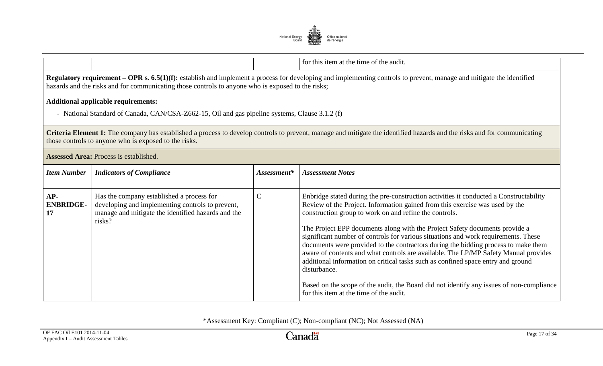

|                                 |                                                                                                                                                                                                                                                                                                                                                                                                                                  |              | for this item at the time of the audit.                                                                                                                                                                                                                                                                                                                                                                                                                                                                                                                                                                                                                                                                                                                                                                                       |  |  |
|---------------------------------|----------------------------------------------------------------------------------------------------------------------------------------------------------------------------------------------------------------------------------------------------------------------------------------------------------------------------------------------------------------------------------------------------------------------------------|--------------|-------------------------------------------------------------------------------------------------------------------------------------------------------------------------------------------------------------------------------------------------------------------------------------------------------------------------------------------------------------------------------------------------------------------------------------------------------------------------------------------------------------------------------------------------------------------------------------------------------------------------------------------------------------------------------------------------------------------------------------------------------------------------------------------------------------------------------|--|--|
|                                 | <b>Regulatory requirement – OPR s. 6.5(1)(f):</b> establish and implement a process for developing and implementing controls to prevent, manage and mitigate the identified<br>hazards and the risks and for communicating those controls to anyone who is exposed to the risks;<br><b>Additional applicable requirements:</b><br>- National Standard of Canada, CAN/CSA-Z662-15, Oil and gas pipeline systems, Clause 3.1.2 (f) |              |                                                                                                                                                                                                                                                                                                                                                                                                                                                                                                                                                                                                                                                                                                                                                                                                                               |  |  |
|                                 | those controls to anyone who is exposed to the risks.                                                                                                                                                                                                                                                                                                                                                                            |              | Criteria Element 1: The company has established a process to develop controls to prevent, manage and mitigate the identified hazards and the risks and for communicating                                                                                                                                                                                                                                                                                                                                                                                                                                                                                                                                                                                                                                                      |  |  |
|                                 | <b>Assessed Area: Process is established.</b>                                                                                                                                                                                                                                                                                                                                                                                    |              |                                                                                                                                                                                                                                                                                                                                                                                                                                                                                                                                                                                                                                                                                                                                                                                                                               |  |  |
| <b>Item Number</b>              | <b>Indicators of Compliance</b>                                                                                                                                                                                                                                                                                                                                                                                                  | Assessment*  | <b>Assessment Notes</b>                                                                                                                                                                                                                                                                                                                                                                                                                                                                                                                                                                                                                                                                                                                                                                                                       |  |  |
| $AP-$<br><b>ENBRIDGE-</b><br>17 | Has the company established a process for<br>developing and implementing controls to prevent,<br>manage and mitigate the identified hazards and the<br>risks?                                                                                                                                                                                                                                                                    | $\mathsf{C}$ | Enbridge stated during the pre-construction activities it conducted a Constructability<br>Review of the Project. Information gained from this exercise was used by the<br>construction group to work on and refine the controls.<br>The Project EPP documents along with the Project Safety documents provide a<br>significant number of controls for various situations and work requirements. These<br>documents were provided to the contractors during the bidding process to make them<br>aware of contents and what controls are available. The LP/MP Safety Manual provides<br>additional information on critical tasks such as confined space entry and ground<br>disturbance.<br>Based on the scope of the audit, the Board did not identify any issues of non-compliance<br>for this item at the time of the audit. |  |  |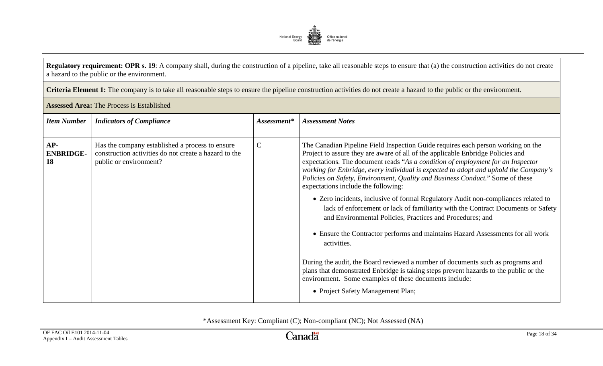

**Regulatory requirement: OPR s. 19**: A company shall, during the construction of a pipeline, take all reasonable steps to ensure that (a) the construction activities do not create a hazard to the public or the environment.

**Criteria Element 1:** The company is to take all reasonable steps to ensure the pipeline construction activities do not create a hazard to the public or the environment.

|                               | <b>Assessed Area: The Process is Established</b>                                                                                   |              |                                                                                                                                                                                                                                                                                                                                                                                                                                                                        |
|-------------------------------|------------------------------------------------------------------------------------------------------------------------------------|--------------|------------------------------------------------------------------------------------------------------------------------------------------------------------------------------------------------------------------------------------------------------------------------------------------------------------------------------------------------------------------------------------------------------------------------------------------------------------------------|
| <b>Item Number</b>            | <b>Indicators of Compliance</b>                                                                                                    | Assessment*  | <b>Assessment Notes</b>                                                                                                                                                                                                                                                                                                                                                                                                                                                |
| AP-<br><b>ENBRIDGE-</b><br>18 | Has the company established a process to ensure<br>construction activities do not create a hazard to the<br>public or environment? | $\mathsf{C}$ | The Canadian Pipeline Field Inspection Guide requires each person working on the<br>Project to assure they are aware of all of the applicable Enbridge Policies and<br>expectations. The document reads "As a condition of employment for an Inspector<br>working for Enbridge, every individual is expected to adopt and uphold the Company's<br>Policies on Safety, Environment, Quality and Business Conduct." Some of these<br>expectations include the following: |
|                               |                                                                                                                                    |              | • Zero incidents, inclusive of formal Regulatory Audit non-compliances related to<br>lack of enforcement or lack of familiarity with the Contract Documents or Safety<br>and Environmental Policies, Practices and Procedures; and                                                                                                                                                                                                                                     |
|                               |                                                                                                                                    |              | • Ensure the Contractor performs and maintains Hazard Assessments for all work<br>activities.                                                                                                                                                                                                                                                                                                                                                                          |
|                               |                                                                                                                                    |              | During the audit, the Board reviewed a number of documents such as programs and<br>plans that demonstrated Enbridge is taking steps prevent hazards to the public or the<br>environment. Some examples of these documents include:                                                                                                                                                                                                                                     |
|                               |                                                                                                                                    |              | • Project Safety Management Plan;                                                                                                                                                                                                                                                                                                                                                                                                                                      |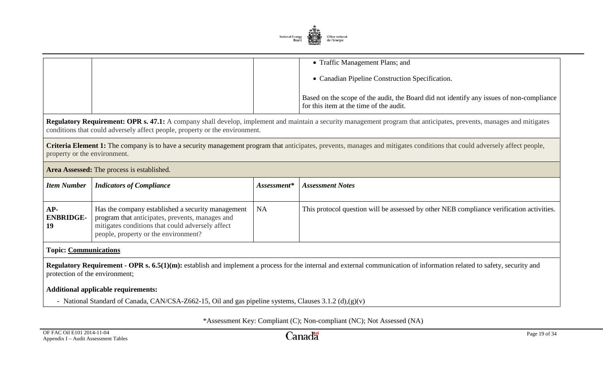

| • Traffic Management Plans; and                                                                                                     |
|-------------------------------------------------------------------------------------------------------------------------------------|
| • Canadian Pipeline Construction Specification.                                                                                     |
| Based on the scope of the audit, the Board did not identify any issues of non-compliance<br>for this item at the time of the audit. |

**Regulatory Requirement: OPR s. 47.1:** A company shall develop, implement and maintain a security management program that anticipates, prevents, manages and mitigates conditions that could adversely affect people, property or the environment.

**Criteria Element 1:** The company is to have a security management program that anticipates, prevents, manages and mitigates conditions that could adversely affect people, property or the environment.

#### **Area Assessed:** The process is established.

| Item Number                     | <b>Indicators of Compliance</b>                                                                                                                                                                  | Assessment* | <b>Assessment Notes</b>                                                                  |
|---------------------------------|--------------------------------------------------------------------------------------------------------------------------------------------------------------------------------------------------|-------------|------------------------------------------------------------------------------------------|
| $AP-$<br><b>ENBRIDGE-</b><br>19 | Has the company established a security management<br>program that anticipates, prevents, manages and<br>mitigates conditions that could adversely affect<br>people, property or the environment? | <b>NA</b>   | This protocol question will be assessed by other NEB compliance verification activities. |

#### **Topic: Communications**

**Regulatory Requirement - OPR s. 6.5(1)(m):** establish and implement a process for the internal and external communication of information related to safety, security and protection of the environment;

#### **Additional applicable requirements:**

- National Standard of Canada, CAN/CSA-Z662-15, Oil and gas pipeline systems, Clauses 3.1.2 (d),(g)(v)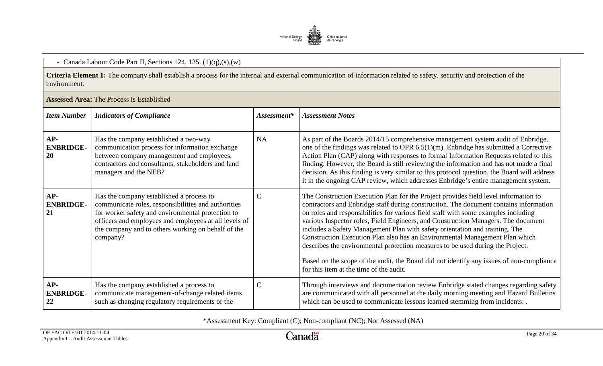

# - Canada Labour Code Part II, Sections 124, 125. (1)(q),(s),(w)

**Criteria Element 1:** The company shall establish a process for the internal and external communication of information related to safety, security and protection of the environment.

| <b>Item Number</b>              | <b>Indicators of Compliance</b>                                                                                                                                                                                                                                                 | Assessment*   | <b>Assessment Notes</b>                                                                                                                                                                                                                                                                                                                                                                                                                                                                                                                                                                                                                                                                                                                        |
|---------------------------------|---------------------------------------------------------------------------------------------------------------------------------------------------------------------------------------------------------------------------------------------------------------------------------|---------------|------------------------------------------------------------------------------------------------------------------------------------------------------------------------------------------------------------------------------------------------------------------------------------------------------------------------------------------------------------------------------------------------------------------------------------------------------------------------------------------------------------------------------------------------------------------------------------------------------------------------------------------------------------------------------------------------------------------------------------------------|
| $AP-$<br><b>ENBRIDGE-</b><br>20 | Has the company established a two-way<br>communication process for information exchange<br>between company management and employees,<br>contractors and consultants, stakeholders and land<br>managers and the NEB?                                                             | <b>NA</b>     | As part of the Boards 2014/15 comprehensive management system audit of Enbridge,<br>one of the findings was related to OPR $6.5(1)(m)$ . Enbridge has submitted a Corrective<br>Action Plan (CAP) along with responses to formal Information Requests related to this<br>finding. However, the Board is still reviewing the information and has not made a final<br>decision. As this finding is very similar to this protocol question, the Board will address<br>it in the ongoing CAP review, which addresses Enbridge's entire management system.                                                                                                                                                                                          |
| $AP-$<br><b>ENBRIDGE-</b><br>21 | Has the company established a process to<br>communicate roles, responsibilities and authorities<br>for worker safety and environmental protection to<br>officers and employees and employees at all levels of<br>the company and to others working on behalf of the<br>company? | $\mathcal{C}$ | The Construction Execution Plan for the Project provides field level information to<br>contractors and Enbridge staff during construction. The document contains information<br>on roles and responsibilities for various field staff with some examples including<br>various Inspector roles, Field Engineers, and Construction Managers. The document<br>includes a Safety Management Plan with safety orientation and training. The<br>Construction Execution Plan also has an Environmental Management Plan which<br>describes the environmental protection measures to be used during the Project.<br>Based on the scope of the audit, the Board did not identify any issues of non-compliance<br>for this item at the time of the audit. |
| $AP-$<br><b>ENBRIDGE-</b><br>22 | Has the company established a process to<br>communicate management-of-change related items<br>such as changing regulatory requirements or the                                                                                                                                   | $\mathbf C$   | Through interviews and documentation review Enbridge stated changes regarding safety<br>are communicated with all personnel at the daily morning meeting and Hazard Bulletins<br>which can be used to communicate lessons learned stemming from incidents                                                                                                                                                                                                                                                                                                                                                                                                                                                                                      |

**Assessed Area:** The Process is Established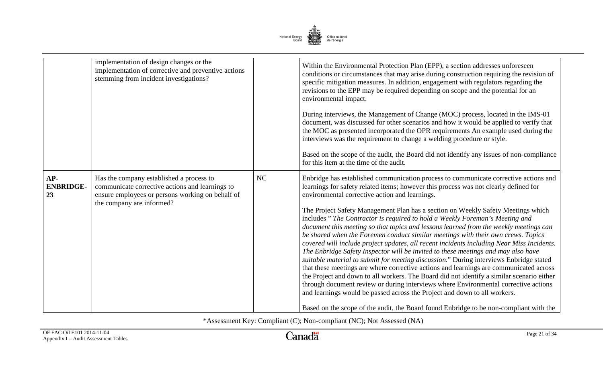

|                               | implementation of design changes or the<br>implementation of corrective and preventive actions<br>stemming from incident investigations?                                     |    | Within the Environmental Protection Plan (EPP), a section addresses unforeseen<br>conditions or circumstances that may arise during construction requiring the revision of<br>specific mitigation measures. In addition, engagement with regulators regarding the<br>revisions to the EPP may be required depending on scope and the potential for an<br>environmental impact.<br>During interviews, the Management of Change (MOC) process, located in the IMS-01<br>document, was discussed for other scenarios and how it would be applied to verify that<br>the MOC as presented incorporated the OPR requirements An example used during the<br>interviews was the requirement to change a welding procedure or style.<br>Based on the scope of the audit, the Board did not identify any issues of non-compliance<br>for this item at the time of the audit.                                                                                                                                                                                                                                                                                                                                                                                                                                              |
|-------------------------------|------------------------------------------------------------------------------------------------------------------------------------------------------------------------------|----|-----------------------------------------------------------------------------------------------------------------------------------------------------------------------------------------------------------------------------------------------------------------------------------------------------------------------------------------------------------------------------------------------------------------------------------------------------------------------------------------------------------------------------------------------------------------------------------------------------------------------------------------------------------------------------------------------------------------------------------------------------------------------------------------------------------------------------------------------------------------------------------------------------------------------------------------------------------------------------------------------------------------------------------------------------------------------------------------------------------------------------------------------------------------------------------------------------------------------------------------------------------------------------------------------------------------|
| AP-<br><b>ENBRIDGE-</b><br>23 | Has the company established a process to<br>communicate corrective actions and learnings to<br>ensure employees or persons working on behalf of<br>the company are informed? | NC | Enbridge has established communication process to communicate corrective actions and<br>learnings for safety related items; however this process was not clearly defined for<br>environmental corrective action and learnings.<br>The Project Safety Management Plan has a section on Weekly Safety Meetings which<br>includes" The Contractor is required to hold a Weekly Foreman's Meeting and<br>document this meeting so that topics and lessons learned from the weekly meetings can<br>be shared when the Foremen conduct similar meetings with their own crews. Topics<br>covered will include project updates, all recent incidents including Near Miss Incidents.<br>The Enbridge Safety Inspector will be invited to these meetings and may also have<br>suitable material to submit for meeting discussion." During interviews Enbridge stated<br>that these meetings are where corrective actions and learnings are communicated across<br>the Project and down to all workers. The Board did not identify a similar scenario either<br>through document review or during interviews where Environmental corrective actions<br>and learnings would be passed across the Project and down to all workers.<br>Based on the scope of the audit, the Board found Enbridge to be non-compliant with the |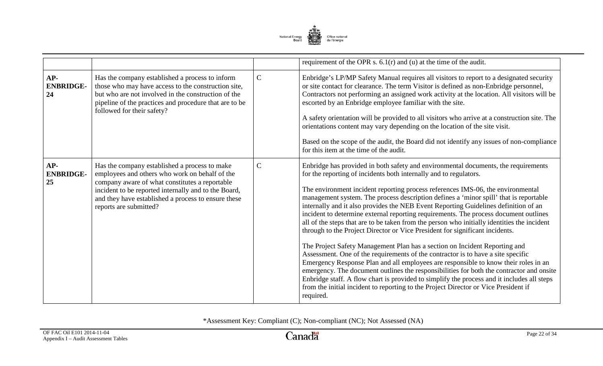

|                                 |                                                                                                                                                                                                                                                                                            |              | requirement of the OPR s. $6.1(r)$ and (u) at the time of the audit.                                                                                                                                                                                                                                                                                                                                                                                                                                                                                                                                                                                                                                                                                                                                                                                                                                                                                                                                                                                                                                                                                                                                                                                     |
|---------------------------------|--------------------------------------------------------------------------------------------------------------------------------------------------------------------------------------------------------------------------------------------------------------------------------------------|--------------|----------------------------------------------------------------------------------------------------------------------------------------------------------------------------------------------------------------------------------------------------------------------------------------------------------------------------------------------------------------------------------------------------------------------------------------------------------------------------------------------------------------------------------------------------------------------------------------------------------------------------------------------------------------------------------------------------------------------------------------------------------------------------------------------------------------------------------------------------------------------------------------------------------------------------------------------------------------------------------------------------------------------------------------------------------------------------------------------------------------------------------------------------------------------------------------------------------------------------------------------------------|
| $AP-$<br><b>ENBRIDGE-</b><br>24 | Has the company established a process to inform<br>those who may have access to the construction site,<br>but who are not involved in the construction of the<br>pipeline of the practices and procedure that are to be<br>followed for their safety?                                      | $\mathbf C$  | Enbridge's LP/MP Safety Manual requires all visitors to report to a designated security<br>or site contact for clearance. The term Visitor is defined as non-Enbridge personnel,<br>Contractors not performing an assigned work activity at the location. All visitors will be<br>escorted by an Enbridge employee familiar with the site.<br>A safety orientation will be provided to all visitors who arrive at a construction site. The<br>orientations content may vary depending on the location of the site visit.<br>Based on the scope of the audit, the Board did not identify any issues of non-compliance<br>for this item at the time of the audit.                                                                                                                                                                                                                                                                                                                                                                                                                                                                                                                                                                                          |
| AP-<br><b>ENBRIDGE-</b><br>25   | Has the company established a process to make<br>employees and others who work on behalf of the<br>company aware of what constitutes a reportable<br>incident to be reported internally and to the Board,<br>and they have established a process to ensure these<br>reports are submitted? | $\mathsf{C}$ | Enbridge has provided in both safety and environmental documents, the requirements<br>for the reporting of incidents both internally and to regulators.<br>The environment incident reporting process references IMS-06, the environmental<br>management system. The process description defines a 'minor spill' that is reportable<br>internally and it also provides the NEB Event Reporting Guidelines definition of an<br>incident to determine external reporting requirements. The process document outlines<br>all of the steps that are to be taken from the person who initially identities the incident<br>through to the Project Director or Vice President for significant incidents.<br>The Project Safety Management Plan has a section on Incident Reporting and<br>Assessment. One of the requirements of the contractor is to have a site specific<br>Emergency Response Plan and all employees are responsible to know their roles in an<br>emergency. The document outlines the responsibilities for both the contractor and onsite<br>Enbridge staff. A flow chart is provided to simplify the process and it includes all steps<br>from the initial incident to reporting to the Project Director or Vice President if<br>required. |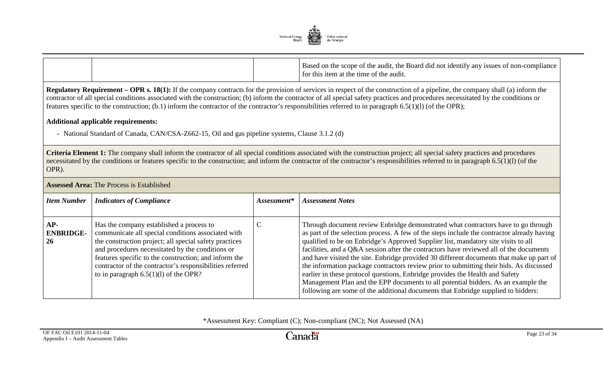

|  | the<br>e Board did not identify any issues of non-compliance<br>Based on the scope of the audit.<br>I for this item at the time of the audit. |
|--|-----------------------------------------------------------------------------------------------------------------------------------------------|
|--|-----------------------------------------------------------------------------------------------------------------------------------------------|

**Regulatory Requirement – OPR s. 18(1):** If the company contracts for the provision of services in respect of the construction of a pipeline, the company shall (a) inform the contractor of all special conditions associated with the construction; (b) inform the contractor of all special safety practices and procedures necessitated by the conditions or features specific to the construction; (b.1) inform the contractor of the contractor's responsibilities referred to in paragraph 6.5(1)(l) (of the OPR);

#### **Additional applicable requirements:**

- National Standard of Canada, CAN/CSA-Z662-15, Oil and gas pipeline systems, Clause 3.1.2 (d)

**Criteria Element 1:** The company shall inform the contractor of all special conditions associated with the construction project; all special safety practices and procedures necessitated by the conditions or features specific to the construction; and inform the contractor of the contractor's responsibilities referred to in paragraph  $6.5(1)(l)$  (of the OPR).

| <b>Assessed Area: The Process is Established</b> |                                                                                                                                                                                                                                                                                                                                                                              |             |                                                                                                                                                                                                                                                                                                                                                                                                                                                                                                                                                                                                                                                                                                                                                                                                                  |
|--------------------------------------------------|------------------------------------------------------------------------------------------------------------------------------------------------------------------------------------------------------------------------------------------------------------------------------------------------------------------------------------------------------------------------------|-------------|------------------------------------------------------------------------------------------------------------------------------------------------------------------------------------------------------------------------------------------------------------------------------------------------------------------------------------------------------------------------------------------------------------------------------------------------------------------------------------------------------------------------------------------------------------------------------------------------------------------------------------------------------------------------------------------------------------------------------------------------------------------------------------------------------------------|
| <b>Item Number</b>                               | <b>Indicators of Compliance</b>                                                                                                                                                                                                                                                                                                                                              | Assessment* | <b>Assessment Notes</b>                                                                                                                                                                                                                                                                                                                                                                                                                                                                                                                                                                                                                                                                                                                                                                                          |
| $AP-$<br><b>ENBRIDGE-</b><br>26                  | Has the company established a process to<br>communicate all special conditions associated with<br>the construction project; all special safety practices<br>and procedures necessitated by the conditions or<br>features specific to the construction; and inform the<br>contractor of the contractor's responsibilities referred<br>to in paragraph $6.5(1)(1)$ of the OPR? |             | Through document review Enbridge demonstrated what contractors have to go through<br>as part of the selection process. A few of the steps include the contractor already having<br>qualified to be on Enbridge's Approved Supplier list, mandatory site visits to all<br>facilities, and a Q&A session after the contractors have reviewed all of the documents<br>and have visited the site. Enbridge provided 30 different documents that make up part of<br>the information package contractors review prior to submitting their bids. As discussed<br>earlier in these protocol questions, Enbridge provides the Health and Safety<br>Management Plan and the EPP documents to all potential bidders. As an example the<br>following are some of the additional documents that Enbridge supplied to bidders: |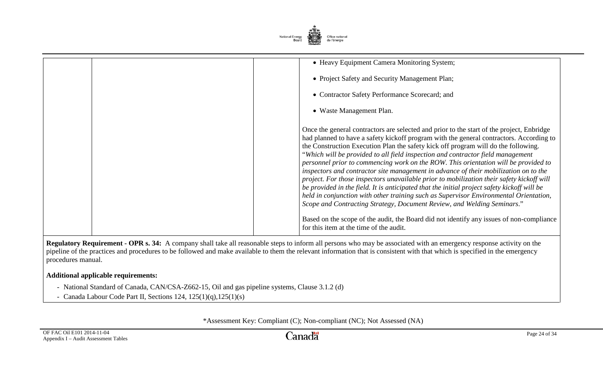

| • Heavy Equipment Camera Monitoring System;<br>• Project Safety and Security Management Plan;<br>• Contractor Safety Performance Scorecard; and<br>• Waste Management Plan.                                                                                                                                                                                                                                                                                                                                                                                                                                                                                                                                                                                                                                                                                                                                                                                                                                                                         |
|-----------------------------------------------------------------------------------------------------------------------------------------------------------------------------------------------------------------------------------------------------------------------------------------------------------------------------------------------------------------------------------------------------------------------------------------------------------------------------------------------------------------------------------------------------------------------------------------------------------------------------------------------------------------------------------------------------------------------------------------------------------------------------------------------------------------------------------------------------------------------------------------------------------------------------------------------------------------------------------------------------------------------------------------------------|
| Once the general contractors are selected and prior to the start of the project, Enbridge<br>had planned to have a safety kickoff program with the general contractors. According to<br>the Construction Execution Plan the safety kick off program will do the following.<br>"Which will be provided to all field inspection and contractor field management<br>personnel prior to commencing work on the ROW. This orientation will be provided to<br>inspectors and contractor site management in advance of their mobilization on to the<br>project. For those inspectors unavailable prior to mobilization their safety kickoff will<br>be provided in the field. It is anticipated that the initial project safety kickoff will be<br>held in conjunction with other training such as Supervisor Environmental Orientation,<br>Scope and Contracting Strategy, Document Review, and Welding Seminars."<br>Based on the scope of the audit, the Board did not identify any issues of non-compliance<br>for this item at the time of the audit. |

**Regulatory Requirement - OPR s. 34:** A company shall take all reasonable steps to inform all persons who may be associated with an emergency response activity on the pipeline of the practices and procedures to be followed and make available to them the relevant information that is consistent with that which is specified in the emergency procedures manual.

# **Additional applicable requirements:**

- National Standard of Canada, CAN/CSA-Z662-15, Oil and gas pipeline systems, Clause 3.1.2 (d)
- Canada Labour Code Part II, Sections 124, 125(1)(q),125(1)(s)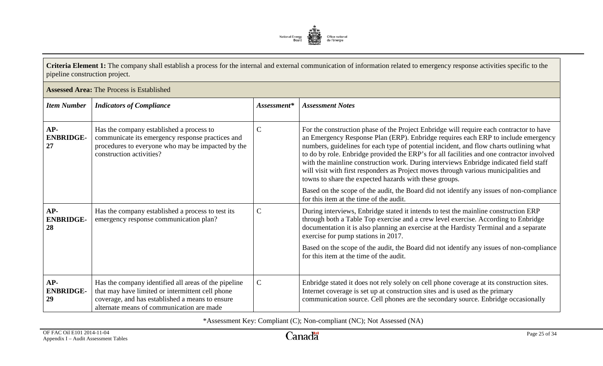

**Criteria Element 1:** The company shall establish a process for the internal and external communication of information related to emergency response activities specific to the pipeline construction project.

|                                 | <b>Assessed Area: The Process is Established</b>                                                                                                                                                         |               |                                                                                                                                                                                                                                                                                                                                                                                                                                                                                                                                                                                                                 |  |
|---------------------------------|----------------------------------------------------------------------------------------------------------------------------------------------------------------------------------------------------------|---------------|-----------------------------------------------------------------------------------------------------------------------------------------------------------------------------------------------------------------------------------------------------------------------------------------------------------------------------------------------------------------------------------------------------------------------------------------------------------------------------------------------------------------------------------------------------------------------------------------------------------------|--|
| <b>Item Number</b>              | <b>Indicators of Compliance</b>                                                                                                                                                                          | Assessment*   | <b>Assessment Notes</b>                                                                                                                                                                                                                                                                                                                                                                                                                                                                                                                                                                                         |  |
| $AP-$<br><b>ENBRIDGE-</b><br>27 | Has the company established a process to<br>communicate its emergency response practices and<br>procedures to everyone who may be impacted by the<br>construction activities?                            | $\mathsf{C}$  | For the construction phase of the Project Enbridge will require each contractor to have<br>an Emergency Response Plan (ERP). Enbridge requires each ERP to include emergency<br>numbers, guidelines for each type of potential incident, and flow charts outlining what<br>to do by role. Enbridge provided the ERP's for all facilities and one contractor involved<br>with the mainline construction work. During interviews Enbridge indicated field staff<br>will visit with first responders as Project moves through various municipalities and<br>towns to share the expected hazards with these groups. |  |
|                                 |                                                                                                                                                                                                          |               | Based on the scope of the audit, the Board did not identify any issues of non-compliance<br>for this item at the time of the audit.                                                                                                                                                                                                                                                                                                                                                                                                                                                                             |  |
| $AP-$<br><b>ENBRIDGE-</b><br>28 | Has the company established a process to test its<br>emergency response communication plan?                                                                                                              | $\mathcal{C}$ | During interviews, Enbridge stated it intends to test the mainline construction ERP<br>through both a Table Top exercise and a crew level exercise. According to Enbridge<br>documentation it is also planning an exercise at the Hardisty Terminal and a separate<br>exercise for pump stations in 2017.<br>Based on the scope of the audit, the Board did not identify any issues of non-compliance<br>for this item at the time of the audit.                                                                                                                                                                |  |
| $AP-$<br><b>ENBRIDGE-</b><br>29 | Has the company identified all areas of the pipeline<br>that may have limited or intermittent cell phone<br>coverage, and has established a means to ensure<br>alternate means of communication are made | $\mathbf C$   | Enbridge stated it does not rely solely on cell phone coverage at its construction sites.<br>Internet coverage is set up at construction sites and is used as the primary<br>communication source. Cell phones are the secondary source. Enbridge occasionally                                                                                                                                                                                                                                                                                                                                                  |  |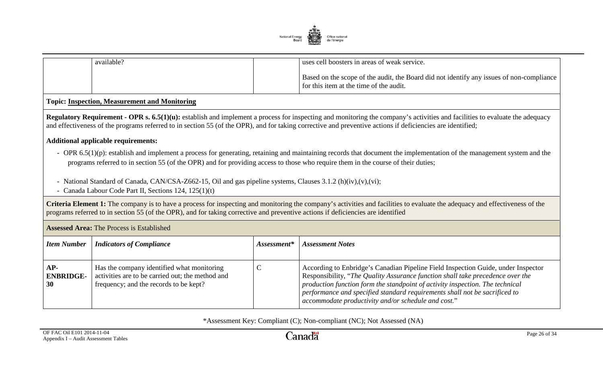

| available? | I uses cell boosters in areas of weak service.                                                                                      |
|------------|-------------------------------------------------------------------------------------------------------------------------------------|
|            | Based on the scope of the audit, the Board did not identify any issues of non-compliance<br>for this item at the time of the audit. |

### **Topic: Inspection, Measurement and Monitoring**

**Regulatory Requirement - OPR s. 6.5(1)(u):** establish and implement a process for inspecting and monitoring the company's activities and facilities to evaluate the adequacy and effectiveness of the programs referred to in section 55 (of the OPR), and for taking corrective and preventive actions if deficiencies are identified;

#### **Additional applicable requirements:**

- OPR 6.5(1)(p): establish and implement a process for generating, retaining and maintaining records that document the implementation of the management system and the programs referred to in section 55 (of the OPR) and for providing access to those who require them in the course of their duties;
- National Standard of Canada, CAN/CSA-Z662-15, Oil and gas pipeline systems, Clauses 3.1.2 (h)(iv),(v),(vi);
- Canada Labour Code Part II, Sections 124, 125(1)(t)

**Criteria Element 1:** The company is to have a process for inspecting and monitoring the company's activities and facilities to evaluate the adequacy and effectiveness of the programs referred to in section 55 (of the OPR), and for taking corrective and preventive actions if deficiencies are identified

| <b>Assessed Area: The Process is Established</b> |                                                                                                                                          |               |                                                                                                                                                                                                                                                                                                                                                                                                          |
|--------------------------------------------------|------------------------------------------------------------------------------------------------------------------------------------------|---------------|----------------------------------------------------------------------------------------------------------------------------------------------------------------------------------------------------------------------------------------------------------------------------------------------------------------------------------------------------------------------------------------------------------|
| <b>Item Number</b>                               | <b>Indicators of Compliance</b>                                                                                                          | $Assessment*$ | <b>Assessment Notes</b>                                                                                                                                                                                                                                                                                                                                                                                  |
|                                                  |                                                                                                                                          |               |                                                                                                                                                                                                                                                                                                                                                                                                          |
| $AP-$<br><b>ENBRIDGE-</b><br>30                  | Has the company identified what monitoring<br>activities are to be carried out; the method and<br>frequency; and the records to be kept? | ◡             | According to Enbridge's Canadian Pipeline Field Inspection Guide, under Inspector<br>Responsibility, "The Quality Assurance function shall take precedence over the<br>production function form the standpoint of activity inspection. The technical<br>performance and specified standard requirements shall not be sacrificed to $\overline{a}$<br>accommodate productivity and/or schedule and cost." |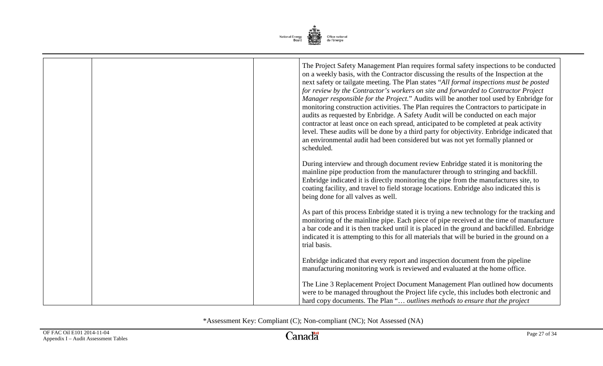

|  | The Project Safety Management Plan requires formal safety inspections to be conducted<br>on a weekly basis, with the Contractor discussing the results of the Inspection at the<br>next safety or tailgate meeting. The Plan states "All formal inspections must be posted<br>for review by the Contractor's workers on site and forwarded to Contractor Project<br>Manager responsible for the Project." Audits will be another tool used by Enbridge for<br>monitoring construction activities. The Plan requires the Contractors to participate in<br>audits as requested by Enbridge. A Safety Audit will be conducted on each major<br>contractor at least once on each spread, anticipated to be completed at peak activity<br>level. These audits will be done by a third party for objectivity. Enbridge indicated that<br>an environmental audit had been considered but was not yet formally planned or<br>scheduled. |
|--|---------------------------------------------------------------------------------------------------------------------------------------------------------------------------------------------------------------------------------------------------------------------------------------------------------------------------------------------------------------------------------------------------------------------------------------------------------------------------------------------------------------------------------------------------------------------------------------------------------------------------------------------------------------------------------------------------------------------------------------------------------------------------------------------------------------------------------------------------------------------------------------------------------------------------------|
|  | During interview and through document review Enbridge stated it is monitoring the<br>mainline pipe production from the manufacturer through to stringing and backfill.<br>Enbridge indicated it is directly monitoring the pipe from the manufactures site, to<br>coating facility, and travel to field storage locations. Enbridge also indicated this is<br>being done for all valves as well.                                                                                                                                                                                                                                                                                                                                                                                                                                                                                                                                |
|  | As part of this process Enbridge stated it is trying a new technology for the tracking and<br>monitoring of the mainline pipe. Each piece of pipe received at the time of manufacture<br>a bar code and it is then tracked until it is placed in the ground and backfilled. Enbridge<br>indicated it is attempting to this for all materials that will be buried in the ground on a<br>trial basis.                                                                                                                                                                                                                                                                                                                                                                                                                                                                                                                             |
|  | Enbridge indicated that every report and inspection document from the pipeline<br>manufacturing monitoring work is reviewed and evaluated at the home office.                                                                                                                                                                                                                                                                                                                                                                                                                                                                                                                                                                                                                                                                                                                                                                   |
|  | The Line 3 Replacement Project Document Management Plan outlined how documents<br>were to be managed throughout the Project life cycle, this includes both electronic and<br>hard copy documents. The Plan " outlines methods to ensure that the project                                                                                                                                                                                                                                                                                                                                                                                                                                                                                                                                                                                                                                                                        |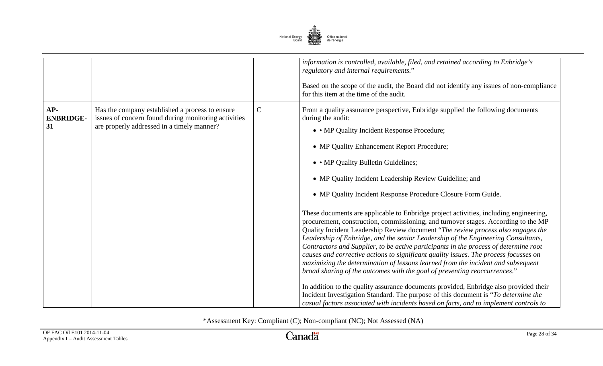

|                               |                                                                                                                                                       |              | information is controlled, available, filed, and retained according to Enbridge's<br>regulatory and internal requirements."<br>Based on the scope of the audit, the Board did not identify any issues of non-compliance<br>for this item at the time of the audit.                                                                                                                                                                                                                                                                                                                                                                                                                                                                                                                                                                                                                                                                                                                                                                                                                                                                                                                                                                                                                                                                                  |
|-------------------------------|-------------------------------------------------------------------------------------------------------------------------------------------------------|--------------|-----------------------------------------------------------------------------------------------------------------------------------------------------------------------------------------------------------------------------------------------------------------------------------------------------------------------------------------------------------------------------------------------------------------------------------------------------------------------------------------------------------------------------------------------------------------------------------------------------------------------------------------------------------------------------------------------------------------------------------------------------------------------------------------------------------------------------------------------------------------------------------------------------------------------------------------------------------------------------------------------------------------------------------------------------------------------------------------------------------------------------------------------------------------------------------------------------------------------------------------------------------------------------------------------------------------------------------------------------|
| AP-<br><b>ENBRIDGE-</b><br>31 | Has the company established a process to ensure<br>issues of concern found during monitoring activities<br>are properly addressed in a timely manner? | $\mathsf{C}$ | From a quality assurance perspective, Enbridge supplied the following documents<br>during the audit:<br>• • MP Quality Incident Response Procedure;<br>• MP Quality Enhancement Report Procedure;<br>• • MP Quality Bulletin Guidelines;<br>• MP Quality Incident Leadership Review Guideline; and<br>• MP Quality Incident Response Procedure Closure Form Guide.<br>These documents are applicable to Enbridge project activities, including engineering,<br>procurement, construction, commissioning, and turnover stages. According to the MP<br>Quality Incident Leadership Review document "The review process also engages the<br>Leadership of Enbridge, and the senior Leadership of the Engineering Consultants,<br>Contractors and Supplier, to be active participants in the process of determine root<br>causes and corrective actions to significant quality issues. The process focusses on<br>maximizing the determination of lessons learned from the incident and subsequent<br>broad sharing of the outcomes with the goal of preventing reoccurrences."<br>In addition to the quality assurance documents provided, Enbridge also provided their<br>Incident Investigation Standard. The purpose of this document is "To determine the<br>casual factors associated with incidents based on facts, and to implement controls to |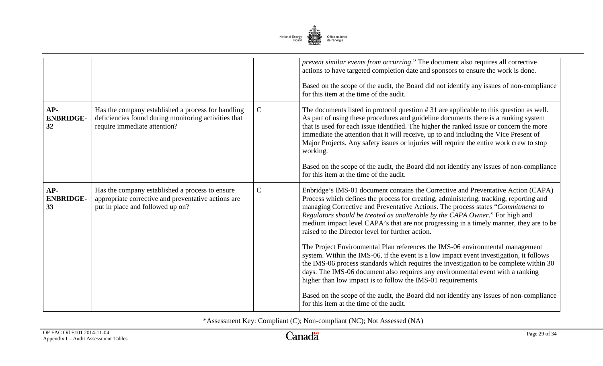

|                                 |                                                                                                                                            |              | prevent similar events from occurring." The document also requires all corrective<br>actions to have targeted completion date and sponsors to ensure the work is done.<br>Based on the scope of the audit, the Board did not identify any issues of non-compliance<br>for this item at the time of the audit.                                                                                                                                                                                 |
|---------------------------------|--------------------------------------------------------------------------------------------------------------------------------------------|--------------|-----------------------------------------------------------------------------------------------------------------------------------------------------------------------------------------------------------------------------------------------------------------------------------------------------------------------------------------------------------------------------------------------------------------------------------------------------------------------------------------------|
| $AP-$<br><b>ENBRIDGE-</b><br>32 | Has the company established a process for handling<br>deficiencies found during monitoring activities that<br>require immediate attention? | $\mathsf{C}$ | The documents listed in protocol question #31 are applicable to this question as well.<br>As part of using these procedures and guideline documents there is a ranking system<br>that is used for each issue identified. The higher the ranked issue or concern the more<br>immediate the attention that it will receive, up to and including the Vice Present of<br>Major Projects. Any safety issues or injuries will require the entire work crew to stop<br>working.                      |
|                                 |                                                                                                                                            |              | Based on the scope of the audit, the Board did not identify any issues of non-compliance<br>for this item at the time of the audit.                                                                                                                                                                                                                                                                                                                                                           |
| $AP-$<br><b>ENBRIDGE-</b><br>33 | Has the company established a process to ensure<br>appropriate corrective and preventative actions are<br>put in place and followed up on? | $\mathbf C$  | Enbridge's IMS-01 document contains the Corrective and Preventative Action (CAPA)<br>Process which defines the process for creating, administering, tracking, reporting and<br>managing Corrective and Preventative Actions. The process states "Commitments to<br>Regulators should be treated as unalterable by the CAPA Owner." For high and<br>medium impact level CAPA's that are not progressing in a timely manner, they are to be<br>raised to the Director level for further action. |
|                                 |                                                                                                                                            |              | The Project Environmental Plan references the IMS-06 environmental management<br>system. Within the IMS-06, if the event is a low impact event investigation, it follows<br>the IMS-06 process standards which requires the investigation to be complete within 30<br>days. The IMS-06 document also requires any environmental event with a ranking<br>higher than low impact is to follow the IMS-01 requirements.                                                                          |
|                                 |                                                                                                                                            |              | Based on the scope of the audit, the Board did not identify any issues of non-compliance<br>for this item at the time of the audit.                                                                                                                                                                                                                                                                                                                                                           |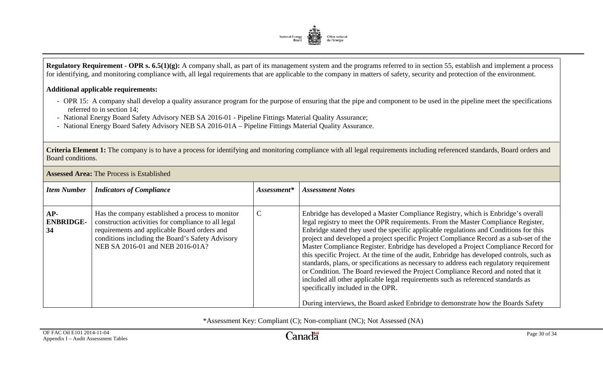

**Regulatory Requirement - OPR s. 6.5(1)(g):** A company shall, as part of its management system and the programs referred to in section 55, establish and implement a process for identifying, and monitoring compliance with, all legal requirements that are applicable to the company in matters of safety, security and protection of the environment.

### **Additional applicable requirements:**

- OPR 15: A company shall develop a quality assurance program for the purpose of ensuring that the pipe and component to be used in the pipeline meet the specifications referred to in section 14;
- National Energy Board Safety Advisory NEB SA 2016-01 Pipeline Fittings Material Quality Assurance;
- National Energy Board Safety Advisory NEB SA 2016-01A Pipeline Fittings Material Quality Assurance.

**Criteria Element 1:** The company is to have a process for identifying and monitoring compliance with all legal requirements including referenced standards, Board orders and Board conditions.

| <b>Item Number</b>            | <b>Indicators of Compliance</b>                                                                                                                                                                                                                 | Assessment* | <b>Assessment Notes</b>                                                                                                                                                                                                                                                                                                                                                                                                                                                                                                                                                                                                                                                                                                                                                                                                                                                                                                                 |
|-------------------------------|-------------------------------------------------------------------------------------------------------------------------------------------------------------------------------------------------------------------------------------------------|-------------|-----------------------------------------------------------------------------------------------------------------------------------------------------------------------------------------------------------------------------------------------------------------------------------------------------------------------------------------------------------------------------------------------------------------------------------------------------------------------------------------------------------------------------------------------------------------------------------------------------------------------------------------------------------------------------------------------------------------------------------------------------------------------------------------------------------------------------------------------------------------------------------------------------------------------------------------|
| AP-<br><b>ENBRIDGE-</b><br>34 | Has the company established a process to monitor<br>construction activities for compliance to all legal<br>requirements and applicable Board orders and<br>conditions including the Board's Safety Advisory<br>NEB SA 2016-01 and NEB 2016-01A? | C           | Enbridge has developed a Master Compliance Registry, which is Enbridge's overall<br>legal registry to meet the OPR requirements. From the Master Compliance Register,<br>Enbridge stated they used the specific applicable regulations and Conditions for this<br>project and developed a project specific Project Compliance Record as a sub-set of the<br>Master Compliance Register. Enbridge has developed a Project Compliance Record for<br>this specific Project. At the time of the audit, Enbridge has developed controls, such as<br>standards, plans, or specifications as necessary to address each regulatory requirement<br>or Condition. The Board reviewed the Project Compliance Record and noted that it<br>included all other applicable legal requirements such as referenced standards as<br>specifically included in the OPR.<br>During interviews, the Board asked Enbridge to demonstrate how the Boards Safety |

#### **Assessed Area:** The Process is Established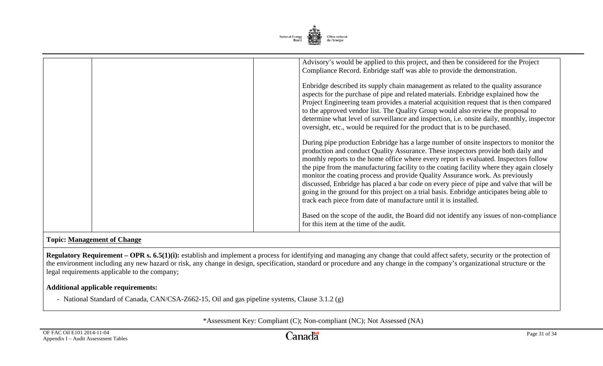

| Advisory's would be applied to this project, and then be considered for the Project<br>Compliance Record. Enbridge staff was able to provide the demonstration.<br>Enbridge described its supply chain management as related to the quality assurance<br>aspects for the purchase of pipe and related materials. Enbridge explained how the                                                                                                                                                                                                                                                                                                                                                                    |
|----------------------------------------------------------------------------------------------------------------------------------------------------------------------------------------------------------------------------------------------------------------------------------------------------------------------------------------------------------------------------------------------------------------------------------------------------------------------------------------------------------------------------------------------------------------------------------------------------------------------------------------------------------------------------------------------------------------|
| Project Engineering team provides a material acquisition request that is then compared<br>to the approved vendor list. The Quality Group would also review the proposal to<br>determine what level of surveillance and inspection, i.e. onsite daily, monthly, inspector<br>oversight, etc., would be required for the product that is to be purchased.                                                                                                                                                                                                                                                                                                                                                        |
| During pipe production Enbridge has a large number of onsite inspectors to monitor the<br>production and conduct Quality Assurance. These inspectors provide both daily and<br>monthly reports to the home office where every report is evaluated. Inspectors follow<br>the pipe from the manufacturing facility to the coating facility where they again closely<br>monitor the coating process and provide Quality Assurance work. As previously<br>discussed, Enbridge has placed a bar code on every piece of pipe and valve that will be<br>going in the ground for this project on a trial basis. Enbridge anticipates being able to<br>track each piece from date of manufacture until it is installed. |
| Based on the scope of the audit, the Board did not identify any issues of non-compliance<br>for this item at the time of the audit.                                                                                                                                                                                                                                                                                                                                                                                                                                                                                                                                                                            |

# **Topic: Management of Change**

**Regulatory Requirement – OPR s. 6.5(1)(i):** establish and implement a process for identifying and managing any change that could affect safety, security or the protection of the environment including any new hazard or risk, any change in design, specification, standard or procedure and any change in the company's organizational structure or the legal requirements applicable to the company;

#### **Additional applicable requirements:**

- National Standard of Canada, CAN/CSA-Z662-15, Oil and gas pipeline systems, Clause 3.1.2 (g)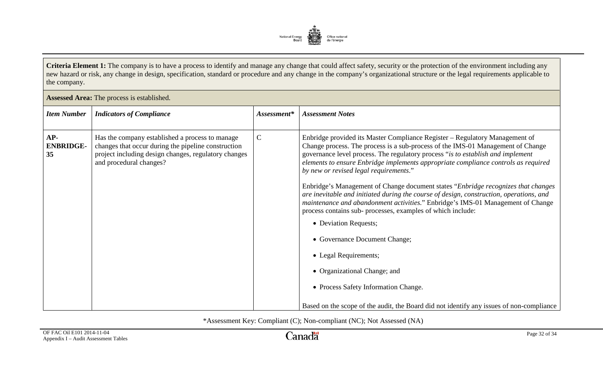

**Criteria Element 1:** The company is to have a process to identify and manage any change that could affect safety, security or the protection of the environment including any new hazard or risk, any change in design, specification, standard or procedure and any change in the company's organizational structure or the legal requirements applicable to the company.

| Assessed Area: The process is established. |                                                                                                                                                                                           |             |                                                                                                                                                                                                                                                                                                                                                                                                                                                                                                                                                                                                                                                                                                                                                                                                                                                                                 |
|--------------------------------------------|-------------------------------------------------------------------------------------------------------------------------------------------------------------------------------------------|-------------|---------------------------------------------------------------------------------------------------------------------------------------------------------------------------------------------------------------------------------------------------------------------------------------------------------------------------------------------------------------------------------------------------------------------------------------------------------------------------------------------------------------------------------------------------------------------------------------------------------------------------------------------------------------------------------------------------------------------------------------------------------------------------------------------------------------------------------------------------------------------------------|
| <b>Item Number</b>                         | <b>Indicators of Compliance</b>                                                                                                                                                           | Assessment* | <b>Assessment Notes</b>                                                                                                                                                                                                                                                                                                                                                                                                                                                                                                                                                                                                                                                                                                                                                                                                                                                         |
| AP-<br><b>ENBRIDGE-</b><br>35              | Has the company established a process to manage<br>changes that occur during the pipeline construction<br>project including design changes, regulatory changes<br>and procedural changes? | $\mathbf C$ | Enbridge provided its Master Compliance Register - Regulatory Management of<br>Change process. The process is a sub-process of the IMS-01 Management of Change<br>governance level process. The regulatory process "is to establish and implement<br>elements to ensure Enbridge implements appropriate compliance controls as required<br>by new or revised legal requirements."<br>Enbridge's Management of Change document states "Enbridge recognizes that changes"<br>are inevitable and initiated during the course of design, construction, operations, and<br>maintenance and abandonment activities." Enbridge's IMS-01 Management of Change<br>process contains sub- processes, examples of which include:<br>• Deviation Requests;<br>• Governance Document Change;<br>• Legal Requirements;<br>• Organizational Change; and<br>• Process Safety Information Change. |
|                                            |                                                                                                                                                                                           |             | Based on the scope of the audit, the Board did not identify any issues of non-compliance                                                                                                                                                                                                                                                                                                                                                                                                                                                                                                                                                                                                                                                                                                                                                                                        |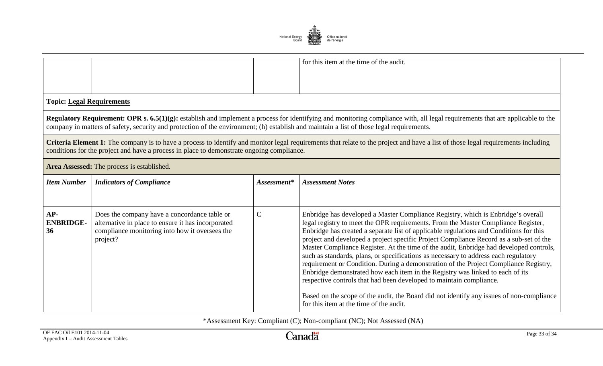

|                                                                                                                                                                                                                                                                                                                                  |                                                                                                                                                                  |              | for this item at the time of the audit.                                                                                                                                                                                                                                                                                                                                                                                                                                                                                                                                                                                                                                                                                                                                                                                                                                                                                           |
|----------------------------------------------------------------------------------------------------------------------------------------------------------------------------------------------------------------------------------------------------------------------------------------------------------------------------------|------------------------------------------------------------------------------------------------------------------------------------------------------------------|--------------|-----------------------------------------------------------------------------------------------------------------------------------------------------------------------------------------------------------------------------------------------------------------------------------------------------------------------------------------------------------------------------------------------------------------------------------------------------------------------------------------------------------------------------------------------------------------------------------------------------------------------------------------------------------------------------------------------------------------------------------------------------------------------------------------------------------------------------------------------------------------------------------------------------------------------------------|
| <b>Topic: Legal Requirements</b>                                                                                                                                                                                                                                                                                                 |                                                                                                                                                                  |              |                                                                                                                                                                                                                                                                                                                                                                                                                                                                                                                                                                                                                                                                                                                                                                                                                                                                                                                                   |
| <b>Regulatory Requirement: OPR s. 6.5(1)(g):</b> establish and implement a process for identifying and monitoring compliance with, all legal requirements that are applicable to the<br>company in matters of safety, security and protection of the environment; (h) establish and maintain a list of those legal requirements. |                                                                                                                                                                  |              |                                                                                                                                                                                                                                                                                                                                                                                                                                                                                                                                                                                                                                                                                                                                                                                                                                                                                                                                   |
| Criteria Element 1: The company is to have a process to identify and monitor legal requirements that relate to the project and have a list of those legal requirements including<br>conditions for the project and have a process in place to demonstrate ongoing compliance.                                                    |                                                                                                                                                                  |              |                                                                                                                                                                                                                                                                                                                                                                                                                                                                                                                                                                                                                                                                                                                                                                                                                                                                                                                                   |
|                                                                                                                                                                                                                                                                                                                                  | Area Assessed: The process is established.                                                                                                                       |              |                                                                                                                                                                                                                                                                                                                                                                                                                                                                                                                                                                                                                                                                                                                                                                                                                                                                                                                                   |
| <b>Item Number</b>                                                                                                                                                                                                                                                                                                               | <b>Indicators of Compliance</b>                                                                                                                                  | Assessment*  | <b>Assessment Notes</b>                                                                                                                                                                                                                                                                                                                                                                                                                                                                                                                                                                                                                                                                                                                                                                                                                                                                                                           |
|                                                                                                                                                                                                                                                                                                                                  |                                                                                                                                                                  |              |                                                                                                                                                                                                                                                                                                                                                                                                                                                                                                                                                                                                                                                                                                                                                                                                                                                                                                                                   |
| $AP-$<br><b>ENBRIDGE-</b><br>36                                                                                                                                                                                                                                                                                                  | Does the company have a concordance table or<br>alternative in place to ensure it has incorporated<br>compliance monitoring into how it oversees the<br>project? | $\mathsf{C}$ | Enbridge has developed a Master Compliance Registry, which is Enbridge's overall<br>legal registry to meet the OPR requirements. From the Master Compliance Register,<br>Enbridge has created a separate list of applicable regulations and Conditions for this<br>project and developed a project specific Project Compliance Record as a sub-set of the<br>Master Compliance Register. At the time of the audit, Enbridge had developed controls,<br>such as standards, plans, or specifications as necessary to address each regulatory<br>requirement or Condition. During a demonstration of the Project Compliance Registry,<br>Enbridge demonstrated how each item in the Registry was linked to each of its<br>respective controls that had been developed to maintain compliance.<br>Based on the scope of the audit, the Board did not identify any issues of non-compliance<br>for this item at the time of the audit. |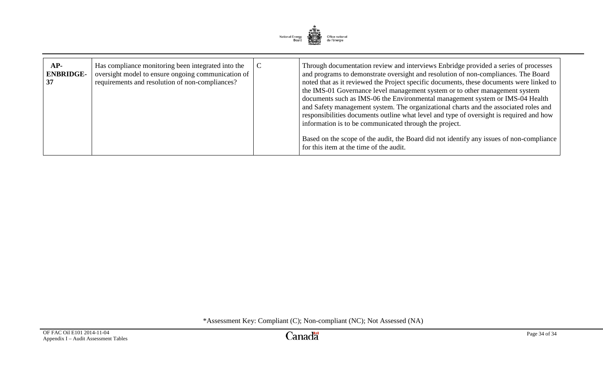

| AP-<br><b>ENBRIDGE-</b><br>37 | Has compliance monitoring been integrated into the<br>oversight model to ensure ongoing communication of<br>requirements and resolution of non-compliances? | $\mathcal{C}$ | Through documentation review and interviews Enbridge provided a series of processes<br>and programs to demonstrate oversight and resolution of non-compliances. The Board<br>noted that as it reviewed the Project specific documents, these documents were linked to<br>the IMS-01 Governance level management system or to other management system<br>documents such as IMS-06 the Environmental management system or IMS-04 Health<br>and Safety management system. The organizational charts and the associated roles and<br>responsibilities documents outline what level and type of oversight is required and how<br>information is to be communicated through the project. |
|-------------------------------|-------------------------------------------------------------------------------------------------------------------------------------------------------------|---------------|------------------------------------------------------------------------------------------------------------------------------------------------------------------------------------------------------------------------------------------------------------------------------------------------------------------------------------------------------------------------------------------------------------------------------------------------------------------------------------------------------------------------------------------------------------------------------------------------------------------------------------------------------------------------------------|
|                               |                                                                                                                                                             |               | Based on the scope of the audit, the Board did not identify any issues of non-compliance<br>for this item at the time of the audit.                                                                                                                                                                                                                                                                                                                                                                                                                                                                                                                                                |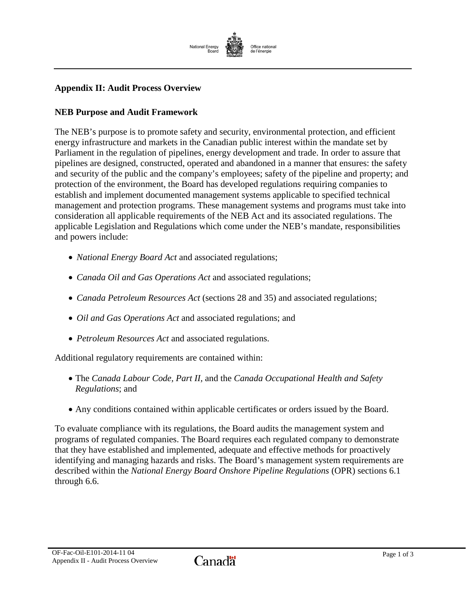

# <span id="page-54-0"></span>**Appendix II: Audit Process Overview**

#### **NEB Purpose and Audit Framework**

The NEB's purpose is to promote safety and security, environmental protection, and efficient energy infrastructure and markets in the Canadian public interest within the mandate set by Parliament in the regulation of pipelines, energy development and trade. In order to assure that pipelines are designed, constructed, operated and abandoned in a manner that ensures: the safety and security of the public and the company's employees; safety of the pipeline and property; and protection of the environment, the Board has developed regulations requiring companies to establish and implement documented management systems applicable to specified technical management and protection programs. These management systems and programs must take into consideration all applicable requirements of the NEB Act and its associated regulations. The applicable Legislation and Regulations which come under the NEB's mandate, responsibilities and powers include:

- *National Energy Board Act* and associated regulations;
- *Canada Oil and Gas Operations Act* and associated regulations;
- *Canada Petroleum Resources Act* (sections 28 and 35) and associated regulations;
- *Oil and Gas Operations Act* and associated regulations; and
- *Petroleum Resources Act* and associated regulations.

Additional regulatory requirements are contained within:

- The *Canada Labour Code, Part II,* and the *Canada Occupational Health and Safety Regulations*; and
- Any conditions contained within applicable certificates or orders issued by the Board.

To evaluate compliance with its regulations, the Board audits the management system and programs of regulated companies. The Board requires each regulated company to demonstrate that they have established and implemented, adequate and effective methods for proactively identifying and managing hazards and risks. The Board's management system requirements are described within the *National Energy Board Onshore Pipeline Regulations* (OPR) sections 6.1 through 6.6.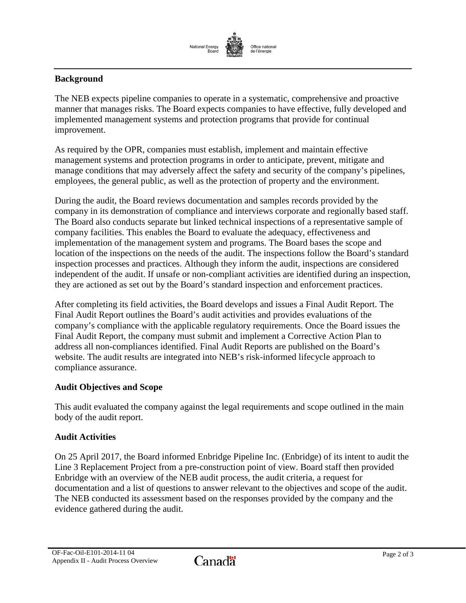

## **Background**

The NEB expects pipeline companies to operate in a systematic, comprehensive and proactive manner that manages risks. The Board expects companies to have effective, fully developed and implemented management systems and protection programs that provide for continual improvement.

As required by the OPR, companies must establish, implement and maintain effective management systems and protection programs in order to anticipate, prevent, mitigate and manage conditions that may adversely affect the safety and security of the company's pipelines, employees, the general public, as well as the protection of property and the environment.

During the audit, the Board reviews documentation and samples records provided by the company in its demonstration of compliance and interviews corporate and regionally based staff. The Board also conducts separate but linked technical inspections of a representative sample of company facilities. This enables the Board to evaluate the adequacy, effectiveness and implementation of the management system and programs. The Board bases the scope and location of the inspections on the needs of the audit. The inspections follow the Board's standard inspection processes and practices. Although they inform the audit, inspections are considered independent of the audit. If unsafe or non-compliant activities are identified during an inspection, they are actioned as set out by the Board's standard inspection and enforcement practices.

After completing its field activities, the Board develops and issues a Final Audit Report. The Final Audit Report outlines the Board's audit activities and provides evaluations of the company's compliance with the applicable regulatory requirements. Once the Board issues the Final Audit Report, the company must submit and implement a Corrective Action Plan to address all non-compliances identified. Final Audit Reports are published on the Board's website. The audit results are integrated into NEB's risk-informed lifecycle approach to compliance assurance.

#### **Audit Objectives and Scope**

This audit evaluated the company against the legal requirements and scope outlined in the main body of the audit report.

#### **Audit Activities**

On 25 April 2017, the Board informed Enbridge Pipeline Inc. (Enbridge) of its intent to audit the Line 3 Replacement Project from a pre-construction point of view. Board staff then provided Enbridge with an overview of the NEB audit process, the audit criteria, a request for documentation and a list of questions to answer relevant to the objectives and scope of the audit. The NEB conducted its assessment based on the responses provided by the company and the evidence gathered during the audit.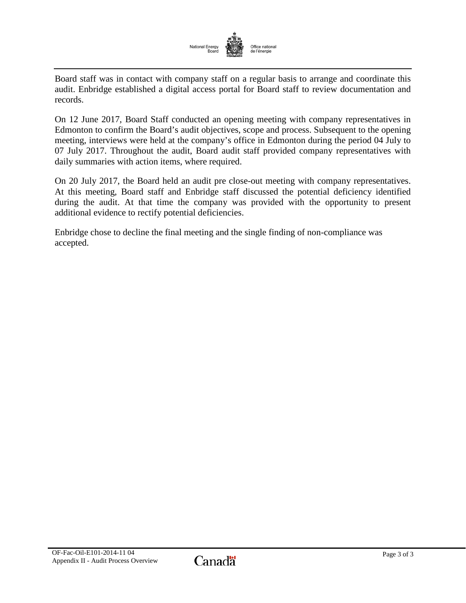

Board staff was in contact with company staff on a regular basis to arrange and coordinate this audit. Enbridge established a digital access portal for Board staff to review documentation and records.

On 12 June 2017, Board Staff conducted an opening meeting with company representatives in Edmonton to confirm the Board's audit objectives, scope and process. Subsequent to the opening meeting, interviews were held at the company's office in Edmonton during the period 04 July to 07 July 2017. Throughout the audit, Board audit staff provided company representatives with daily summaries with action items, where required.

On 20 July 2017, the Board held an audit pre close-out meeting with company representatives. At this meeting, Board staff and Enbridge staff discussed the potential deficiency identified during the audit. At that time the company was provided with the opportunity to present additional evidence to rectify potential deficiencies.

Enbridge chose to decline the final meeting and the single finding of non-compliance was accepted.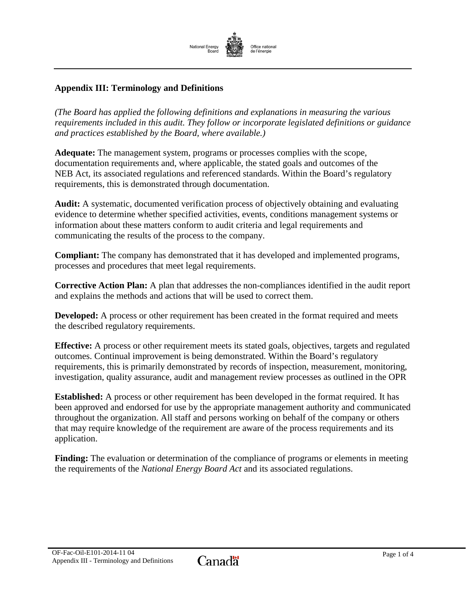

# <span id="page-57-0"></span>**Appendix III: Terminology and Definitions**

*(The Board has applied the following definitions and explanations in measuring the various requirements included in this audit. They follow or incorporate legislated definitions or guidance and practices established by the Board, where available.)*

**Adequate:** The management system, programs or processes complies with the scope, documentation requirements and, where applicable, the stated goals and outcomes of the NEB Act, its associated regulations and referenced standards. Within the Board's regulatory requirements, this is demonstrated through documentation.

**Audit:** A systematic, documented verification process of objectively obtaining and evaluating evidence to determine whether specified activities, events, conditions management systems or information about these matters conform to audit criteria and legal requirements and communicating the results of the process to the company.

**Compliant:** The company has demonstrated that it has developed and implemented programs, processes and procedures that meet legal requirements.

**Corrective Action Plan:** A plan that addresses the non-compliances identified in the audit report and explains the methods and actions that will be used to correct them.

**Developed:** A process or other requirement has been created in the format required and meets the described regulatory requirements.

**Effective:** A process or other requirement meets its stated goals, objectives, targets and regulated outcomes. Continual improvement is being demonstrated. Within the Board's regulatory requirements, this is primarily demonstrated by records of inspection, measurement, monitoring, investigation, quality assurance, audit and management review processes as outlined in the OPR

**Established:** A process or other requirement has been developed in the format required. It has been approved and endorsed for use by the appropriate management authority and communicated throughout the organization. All staff and persons working on behalf of the company or others that may require knowledge of the requirement are aware of the process requirements and its application.

**Finding:** The evaluation or determination of the compliance of programs or elements in meeting the requirements of the *National Energy Board Act* and its associated regulations.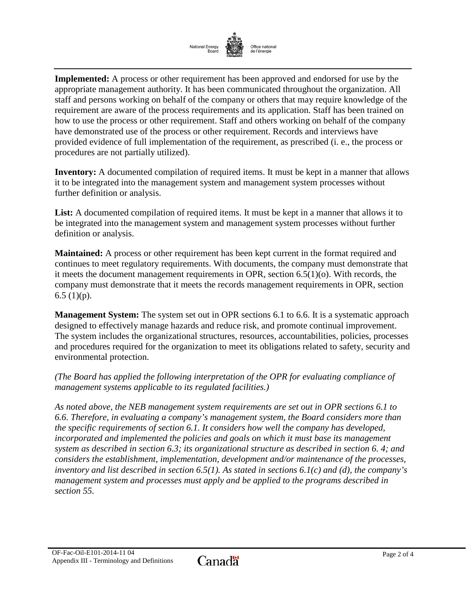

**Implemented:** A process or other requirement has been approved and endorsed for use by the appropriate management authority. It has been communicated throughout the organization. All staff and persons working on behalf of the company or others that may require knowledge of the requirement are aware of the process requirements and its application. Staff has been trained on how to use the process or other requirement. Staff and others working on behalf of the company have demonstrated use of the process or other requirement. Records and interviews have provided evidence of full implementation of the requirement, as prescribed (i. e., the process or procedures are not partially utilized).

**Inventory:** A documented compilation of required items. It must be kept in a manner that allows it to be integrated into the management system and management system processes without further definition or analysis.

List: A documented compilation of required items. It must be kept in a manner that allows it to be integrated into the management system and management system processes without further definition or analysis.

**Maintained:** A process or other requirement has been kept current in the format required and continues to meet regulatory requirements. With documents, the company must demonstrate that it meets the document management requirements in OPR, section 6.5(1)(o). With records, the company must demonstrate that it meets the records management requirements in OPR, section  $6.5$  (1)(p).

**Management System:** The system set out in OPR sections 6.1 to 6.6. It is a systematic approach designed to effectively manage hazards and reduce risk, and promote continual improvement. The system includes the organizational structures, resources, accountabilities, policies, processes and procedures required for the organization to meet its obligations related to safety, security and environmental protection.

*(The Board has applied the following interpretation of the OPR for evaluating compliance of management systems applicable to its regulated facilities.)*

*As noted above, the NEB management system requirements are set out in OPR sections 6.1 to 6.6. Therefore, in evaluating a company's management system, the Board considers more than the specific requirements of section 6.1. It considers how well the company has developed, incorporated and implemented the policies and goals on which it must base its management system as described in section 6.3; its organizational structure as described in section 6. 4; and considers the establishment, implementation, development and/or maintenance of the processes, inventory and list described in section 6.5(1). As stated in sections 6.1(c) and (d), the company's management system and processes must apply and be applied to the programs described in section 55.*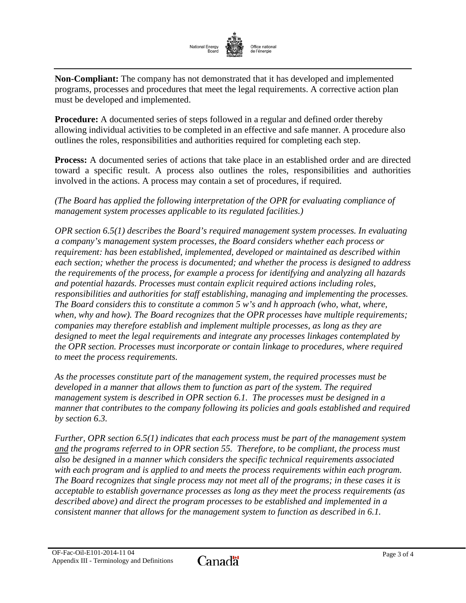![](_page_59_Picture_0.jpeg)

**Non-Compliant:** The company has not demonstrated that it has developed and implemented programs, processes and procedures that meet the legal requirements. A corrective action plan must be developed and implemented.

**Procedure:** A documented series of steps followed in a regular and defined order thereby allowing individual activities to be completed in an effective and safe manner. A procedure also outlines the roles, responsibilities and authorities required for completing each step.

**Process:** A documented series of actions that take place in an established order and are directed toward a specific result. A process also outlines the roles, responsibilities and authorities involved in the actions. A process may contain a set of procedures, if required.

*(The Board has applied the following interpretation of the OPR for evaluating compliance of management system processes applicable to its regulated facilities.)*

*OPR section 6.5(1) describes the Board's required management system processes. In evaluating a company's management system processes, the Board considers whether each process or requirement: has been established, implemented, developed or maintained as described within each section; whether the process is documented; and whether the process is designed to address the requirements of the process, for example a process for identifying and analyzing all hazards and potential hazards. Processes must contain explicit required actions including roles, responsibilities and authorities for staff establishing, managing and implementing the processes. The Board considers this to constitute a common 5 w's and h approach (who, what, where, when, why and how). The Board recognizes that the OPR processes have multiple requirements; companies may therefore establish and implement multiple processes, as long as they are designed to meet the legal requirements and integrate any processes linkages contemplated by the OPR section. Processes must incorporate or contain linkage to procedures, where required to meet the process requirements.*

*As the processes constitute part of the management system, the required processes must be developed in a manner that allows them to function as part of the system. The required management system is described in OPR section 6.1. The processes must be designed in a manner that contributes to the company following its policies and goals established and required by section 6.3.*

*Further, OPR section 6.5(1) indicates that each process must be part of the management system and the programs referred to in OPR section 55. Therefore, to be compliant, the process must also be designed in a manner which considers the specific technical requirements associated with each program and is applied to and meets the process requirements within each program. The Board recognizes that single process may not meet all of the programs; in these cases it is acceptable to establish governance processes as long as they meet the process requirements (as described above) and direct the program processes to be established and implemented in a consistent manner that allows for the management system to function as described in 6.1.*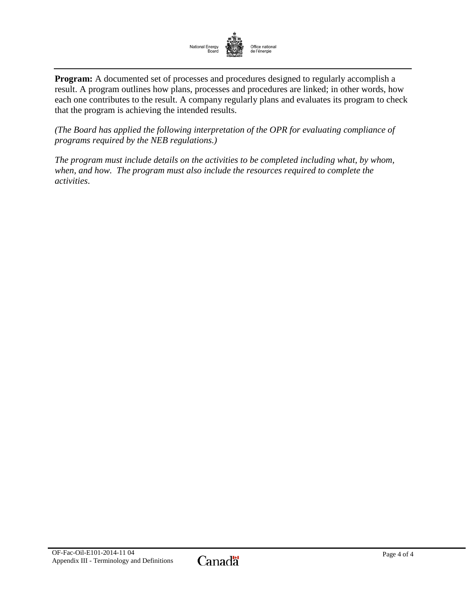![](_page_60_Picture_0.jpeg)

**Program:** A documented set of processes and procedures designed to regularly accomplish a result. A program outlines how plans, processes and procedures are linked; in other words, how each one contributes to the result. A company regularly plans and evaluates its program to check that the program is achieving the intended results.

*(The Board has applied the following interpretation of the OPR for evaluating compliance of programs required by the NEB regulations.)*

*The program must include details on the activities to be completed including what, by whom, when, and how. The program must also include the resources required to complete the activities*.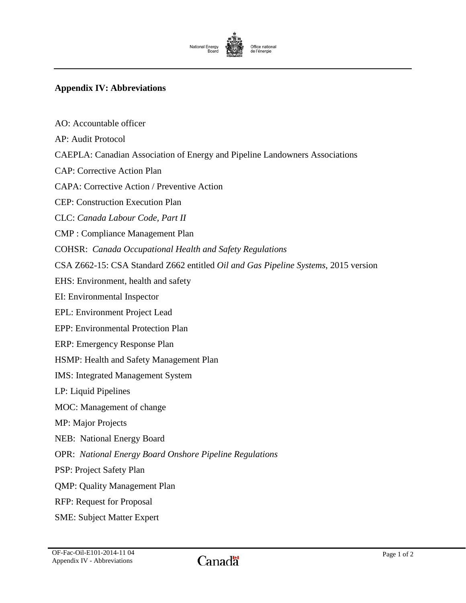![](_page_61_Picture_0.jpeg)

# <span id="page-61-0"></span>**Appendix IV: Abbreviations**

| AO: Accountable officer                                                            |
|------------------------------------------------------------------------------------|
| AP: Audit Protocol                                                                 |
| <b>CAEPLA: Canadian Association of Energy and Pipeline Landowners Associations</b> |
| <b>CAP: Corrective Action Plan</b>                                                 |
| <b>CAPA: Corrective Action / Preventive Action</b>                                 |
| <b>CEP: Construction Execution Plan</b>                                            |
| CLC: Canada Labour Code, Part II                                                   |
| <b>CMP</b> : Compliance Management Plan                                            |
| <b>COHSR:</b> Canada Occupational Health and Safety Regulations                    |
| CSA Z662-15: CSA Standard Z662 entitled Oil and Gas Pipeline Systems, 2015 version |
| EHS: Environment, health and safety                                                |
| EI: Environmental Inspector                                                        |
| <b>EPL:</b> Environment Project Lead                                               |
| <b>EPP: Environmental Protection Plan</b>                                          |
| ERP: Emergency Response Plan                                                       |
| HSMP: Health and Safety Management Plan                                            |
| <b>IMS:</b> Integrated Management System                                           |
| LP: Liquid Pipelines                                                               |
| MOC: Management of change                                                          |
| <b>MP:</b> Major Projects                                                          |
| <b>NEB:</b> National Energy Board                                                  |
| <b>OPR:</b> National Energy Board Onshore Pipeline Regulations                     |
| PSP: Project Safety Plan                                                           |
| <b>QMP: Quality Management Plan</b>                                                |
| <b>RFP: Request for Proposal</b>                                                   |
| <b>SME: Subject Matter Expert</b>                                                  |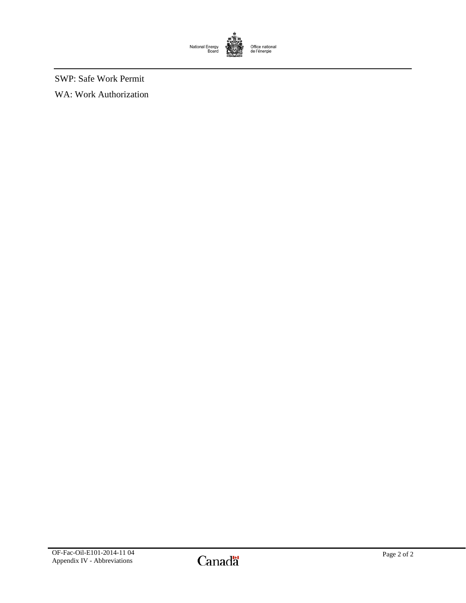![](_page_62_Picture_0.jpeg)

SWP: Safe Work Permit WA: Work Authorization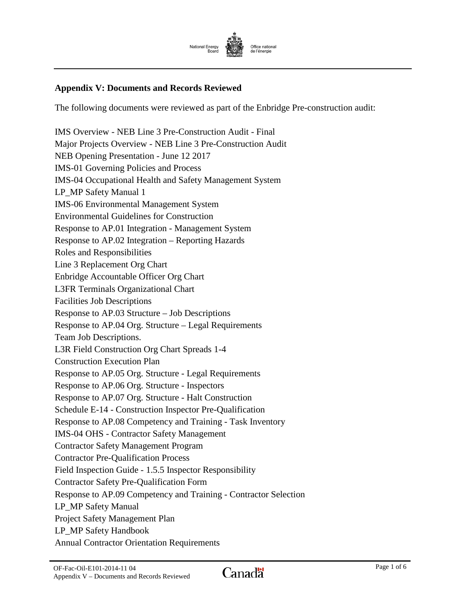![](_page_63_Picture_0.jpeg)

## <span id="page-63-0"></span>**Appendix V: Documents and Records Reviewed**

The following documents were reviewed as part of the Enbridge Pre-construction audit:

IMS Overview - NEB Line 3 Pre-Construction Audit - Final Major Projects Overview - NEB Line 3 Pre-Construction Audit NEB Opening Presentation - June 12 2017 IMS-01 Governing Policies and Process IMS-04 Occupational Health and Safety Management System LP\_MP Safety Manual 1 IMS-06 Environmental Management System Environmental Guidelines for Construction Response to AP.01 Integration - Management System Response to AP.02 Integration – Reporting Hazards Roles and Responsibilities Line 3 Replacement Org Chart Enbridge Accountable Officer Org Chart L3FR Terminals Organizational Chart Facilities Job Descriptions Response to AP.03 Structure – Job Descriptions Response to AP.04 Org. Structure – Legal Requirements Team Job Descriptions. L3R Field Construction Org Chart Spreads 1-4 Construction Execution Plan Response to AP.05 Org. Structure - Legal Requirements Response to AP.06 Org. Structure - Inspectors Response to AP.07 Org. Structure - Halt Construction Schedule E-14 - Construction Inspector Pre-Qualification Response to AP.08 Competency and Training - Task Inventory IMS-04 OHS - Contractor Safety Management Contractor Safety Management Program Contractor Pre-Qualification Process Field Inspection Guide - 1.5.5 Inspector Responsibility Contractor Safety Pre-Qualification Form Response to AP.09 Competency and Training - Contractor Selection LP\_MP Safety Manual Project Safety Management Plan LP\_MP Safety Handbook Annual Contractor Orientation Requirements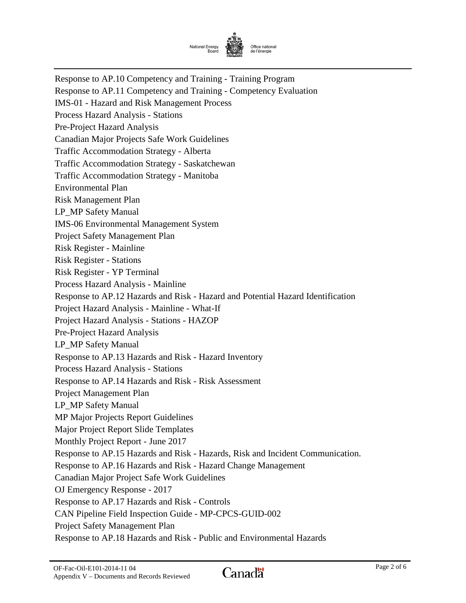![](_page_64_Picture_0.jpeg)

Response to AP.10 Competency and Training - Training Program Response to AP.11 Competency and Training - Competency Evaluation IMS-01 - Hazard and Risk Management Process Process Hazard Analysis - Stations Pre-Project Hazard Analysis Canadian Major Projects Safe Work Guidelines Traffic Accommodation Strategy - Alberta Traffic Accommodation Strategy - Saskatchewan Traffic Accommodation Strategy - Manitoba Environmental Plan Risk Management Plan LP\_MP Safety Manual IMS-06 Environmental Management System Project Safety Management Plan Risk Register - Mainline Risk Register - Stations Risk Register - YP Terminal Process Hazard Analysis - Mainline Response to AP.12 Hazards and Risk - Hazard and Potential Hazard Identification Project Hazard Analysis - Mainline - What-If Project Hazard Analysis - Stations - HAZOP Pre-Project Hazard Analysis LP MP Safety Manual Response to AP.13 Hazards and Risk - Hazard Inventory Process Hazard Analysis - Stations Response to AP.14 Hazards and Risk - Risk Assessment Project Management Plan LP\_MP Safety Manual MP Major Projects Report Guidelines Major Project Report Slide Templates Monthly Project Report - June 2017 Response to AP.15 Hazards and Risk - Hazards, Risk and Incident Communication. Response to AP.16 Hazards and Risk - Hazard Change Management Canadian Major Project Safe Work Guidelines OJ Emergency Response - 2017 Response to AP.17 Hazards and Risk - Controls CAN Pipeline Field Inspection Guide - MP-CPCS-GUID-002 Project Safety Management Plan Response to AP.18 Hazards and Risk - Public and Environmental Hazards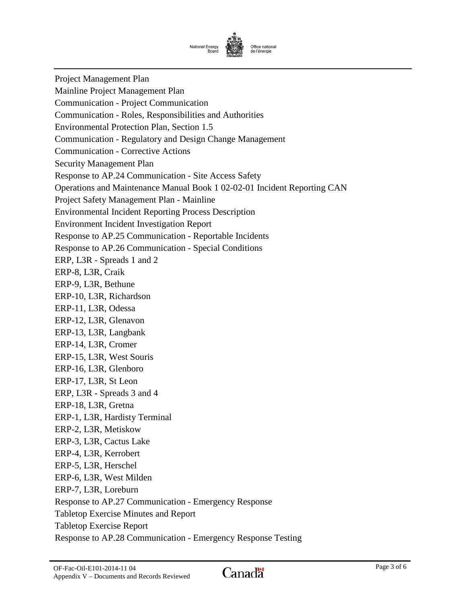![](_page_65_Picture_0.jpeg)

Project Management Plan Mainline Project Management Plan Communication - Project Communication Communication - Roles, Responsibilities and Authorities Environmental Protection Plan, Section 1.5 Communication - Regulatory and Design Change Management Communication - Corrective Actions Security Management Plan Response to AP.24 Communication - Site Access Safety Operations and Maintenance Manual Book 1 02-02-01 Incident Reporting CAN Project Safety Management Plan - Mainline Environmental Incident Reporting Process Description Environment Incident Investigation Report Response to AP.25 Communication - Reportable Incidents Response to AP.26 Communication - Special Conditions ERP, L3R - Spreads 1 and 2 ERP-8, L3R, Craik ERP-9, L3R, Bethune ERP-10, L3R, Richardson ERP-11, L3R, Odessa ERP-12, L3R, Glenavon ERP-13, L3R, Langbank ERP-14, L3R, Cromer ERP-15, L3R, West Souris ERP-16, L3R, Glenboro ERP-17, L3R, St Leon ERP, L3R - Spreads 3 and 4 ERP-18, L3R, Gretna ERP-1, L3R, Hardisty Terminal ERP-2, L3R, Metiskow ERP-3, L3R, Cactus Lake ERP-4, L3R, Kerrobert ERP-5, L3R, Herschel ERP-6, L3R, West Milden ERP-7, L3R, Loreburn Response to AP.27 Communication - Emergency Response Tabletop Exercise Minutes and Report Tabletop Exercise Report Response to AP.28 Communication - Emergency Response Testing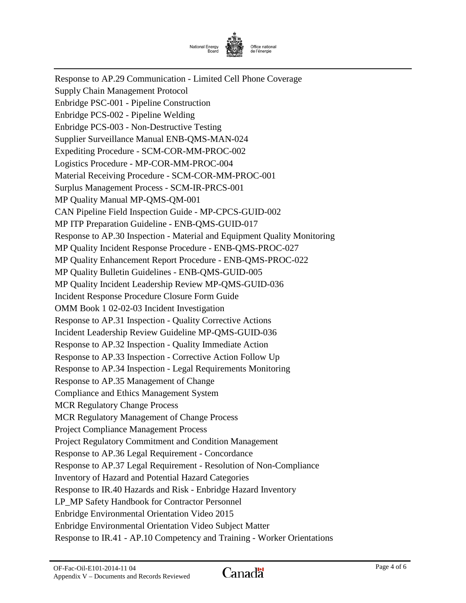![](_page_66_Picture_0.jpeg)

Response to AP.29 Communication - Limited Cell Phone Coverage Supply Chain Management Protocol Enbridge PSC-001 - Pipeline Construction Enbridge PCS-002 - Pipeline Welding Enbridge PCS-003 - Non-Destructive Testing Supplier Surveillance Manual ENB-QMS-MAN-024 Expediting Procedure - SCM-COR-MM-PROC-002 Logistics Procedure - MP-COR-MM-PROC-004 Material Receiving Procedure - SCM-COR-MM-PROC-001 Surplus Management Process - SCM-IR-PRCS-001 MP Quality Manual MP-QMS-QM-001 CAN Pipeline Field Inspection Guide - MP-CPCS-GUID-002 MP ITP Preparation Guideline - ENB-QMS-GUID-017 Response to AP.30 Inspection - Material and Equipment Quality Monitoring MP Quality Incident Response Procedure - ENB-QMS-PROC-027 MP Quality Enhancement Report Procedure - ENB-QMS-PROC-022 MP Quality Bulletin Guidelines - ENB-QMS-GUID-005 MP Quality Incident Leadership Review MP-QMS-GUID-036 Incident Response Procedure Closure Form Guide OMM Book 1 02-02-03 Incident Investigation Response to AP.31 Inspection - Quality Corrective Actions Incident Leadership Review Guideline MP-QMS-GUID-036 Response to AP.32 Inspection - Quality Immediate Action Response to AP.33 Inspection - Corrective Action Follow Up Response to AP.34 Inspection - Legal Requirements Monitoring Response to AP.35 Management of Change Compliance and Ethics Management System MCR Regulatory Change Process MCR Regulatory Management of Change Process Project Compliance Management Process Project Regulatory Commitment and Condition Management Response to AP.36 Legal Requirement - Concordance Response to AP.37 Legal Requirement - Resolution of Non-Compliance Inventory of Hazard and Potential Hazard Categories Response to IR.40 Hazards and Risk - Enbridge Hazard Inventory LP\_MP Safety Handbook for Contractor Personnel Enbridge Environmental Orientation Video 2015 Enbridge Environmental Orientation Video Subject Matter Response to IR.41 - AP.10 Competency and Training - Worker Orientations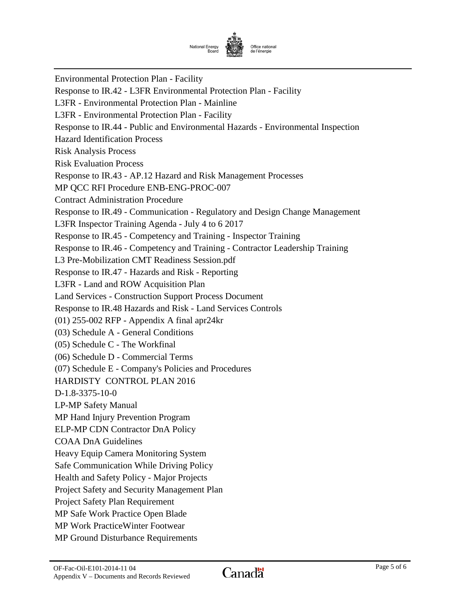![](_page_67_Picture_0.jpeg)

Environmental Protection Plan - Facility Response to IR.42 - L3FR Environmental Protection Plan - Facility L3FR - Environmental Protection Plan - Mainline L3FR - Environmental Protection Plan - Facility Response to IR.44 - Public and Environmental Hazards - Environmental Inspection Hazard Identification Process Risk Analysis Process Risk Evaluation Process Response to IR.43 - AP.12 Hazard and Risk Management Processes MP QCC RFI Procedure ENB-ENG-PROC-007 Contract Administration Procedure Response to IR.49 - Communication - Regulatory and Design Change Management L3FR Inspector Training Agenda - July 4 to 6 2017 Response to IR.45 - Competency and Training - Inspector Training Response to IR.46 - Competency and Training - Contractor Leadership Training L3 Pre-Mobilization CMT Readiness Session.pdf Response to IR.47 - Hazards and Risk - Reporting L3FR - Land and ROW Acquisition Plan Land Services - Construction Support Process Document Response to IR.48 Hazards and Risk - Land Services Controls (01) 255-002 RFP - Appendix A final apr24kr (03) Schedule A - General Conditions (05) Schedule C - The Workfinal (06) Schedule D - Commercial Terms (07) Schedule E - Company's Policies and Procedures HARDISTY CONTROL PLAN 2016 D-1.8-3375-10-0 LP-MP Safety Manual MP Hand Injury Prevention Program ELP-MP CDN Contractor DnA Policy COAA DnA Guidelines Heavy Equip Camera Monitoring System Safe Communication While Driving Policy Health and Safety Policy - Major Projects Project Safety and Security Management Plan Project Safety Plan Requirement MP Safe Work Practice Open Blade MP Work PracticeWinter Footwear MP Ground Disturbance Requirements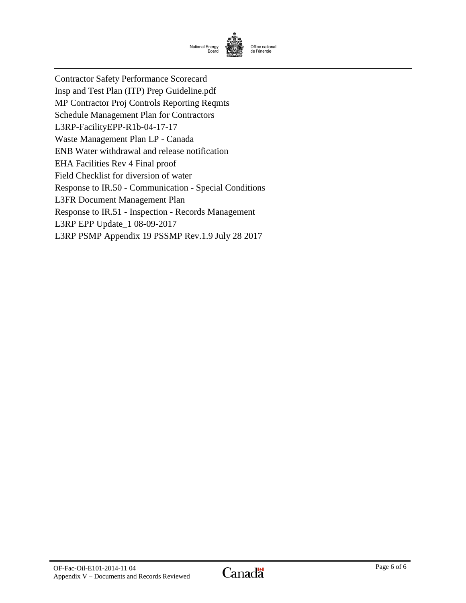![](_page_68_Picture_0.jpeg)

<span id="page-68-0"></span>Contractor Safety Performance Scorecard Insp and Test Plan (ITP) Prep Guideline.pdf MP Contractor Proj Controls Reporting Reqmts Schedule Management Plan for Contractors L3RP-FacilityEPP-R1b-04-17-17 Waste Management Plan LP - Canada ENB Water withdrawal and release notification EHA Facilities Rev 4 Final proof Field Checklist for diversion of water Response to IR.50 - Communication - Special Conditions L3FR Document Management Plan Response to IR.51 - Inspection - Records Management L3RP EPP Update\_1 08-09-2017 L3RP PSMP Appendix 19 PSSMP Rev.1.9 July 28 2017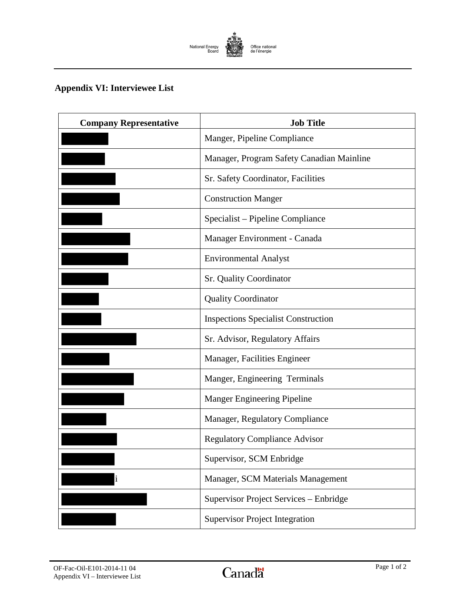![](_page_69_Picture_0.jpeg)

# **Appendix VI: Interviewee List**

| <b>Company Representative</b> | <b>Job Title</b>                           |
|-------------------------------|--------------------------------------------|
|                               | Manger, Pipeline Compliance                |
|                               | Manager, Program Safety Canadian Mainline  |
|                               | Sr. Safety Coordinator, Facilities         |
|                               | <b>Construction Manger</b>                 |
|                               | Specialist – Pipeline Compliance           |
|                               | Manager Environment - Canada               |
|                               | <b>Environmental Analyst</b>               |
|                               | <b>Sr. Quality Coordinator</b>             |
|                               | <b>Quality Coordinator</b>                 |
|                               | <b>Inspections Specialist Construction</b> |
|                               | Sr. Advisor, Regulatory Affairs            |
|                               | Manager, Facilities Engineer               |
|                               | Manger, Engineering Terminals              |
|                               | <b>Manger Engineering Pipeline</b>         |
|                               | Manager, Regulatory Compliance             |
|                               | <b>Regulatory Compliance Advisor</b>       |
|                               | Supervisor, SCM Enbridge                   |
| i                             | Manager, SCM Materials Management          |
|                               | Supervisor Project Services - Enbridge     |
|                               | <b>Supervisor Project Integration</b>      |